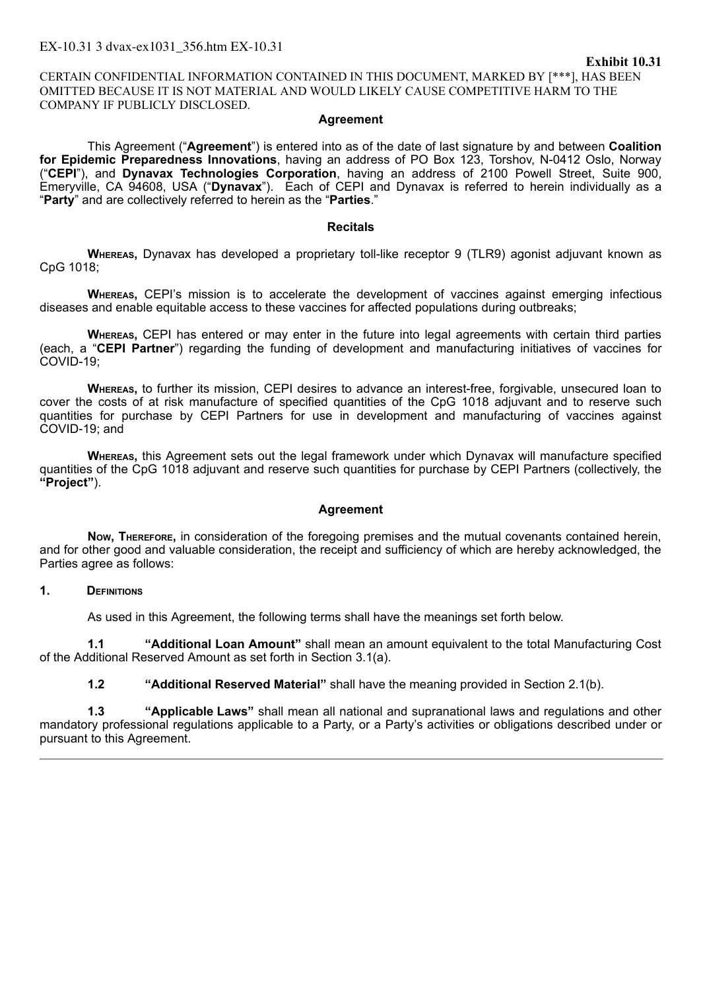CERTAIN CONFIDENTIAL INFORMATION CONTAINED IN THIS DOCUMENT, MARKED BY [\*\*\*], HAS BEEN OMITTED BECAUSE IT IS NOT MATERIAL AND WOULD LIKELY CAUSE COMPETITIVE HARM TO THE COMPANY IF PUBLICLY DISCLOSED.

#### **Agreement**

This Agreement ("**Agreement**") is entered into as of the date of last signature by and between **Coalition for Epidemic Preparedness Innovations**, having an address of PO Box 123, Torshov, N-0412 Oslo, Norway ("**CEPI**"), and **Dynavax Technologies Corporation**, having an address of 2100 Powell Street, Suite 900, Emeryville, CA 94608, USA ("**Dynavax**"). Each of CEPI and Dynavax is referred to herein individually as a "**Party**" and are collectively referred to herein as the "**Parties**."

#### **Recitals**

**Whereas,** Dynavax has developed a proprietary toll-like receptor 9 (TLR9) agonist adjuvant known as CpG 1018;

**Whereas,** CEPI's mission is to accelerate the development of vaccines against emerging infectious diseases and enable equitable access to these vaccines for affected populations during outbreaks;

**Whereas,** CEPI has entered or may enter in the future into legal agreements with certain third parties (each, a "**CEPI Partner**") regarding the funding of development and manufacturing initiatives of vaccines for COVID-19;

**Whereas,** to further its mission, CEPI desires to advance an interest-free, forgivable, unsecured loan to cover the costs of at risk manufacture of specified quantities of the CpG 1018 adjuvant and to reserve such quantities for purchase by CEPI Partners for use in development and manufacturing of vaccines against COVID‑19; and

**Whereas,** this Agreement sets out the legal framework under which Dynavax will manufacture specified quantities of the CpG 1018 adjuvant and reserve such quantities for purchase by CEPI Partners (collectively, the **"Project"**).

## **Agreement**

**Now, Therefore,** in consideration of the foregoing premises and the mutual covenants contained herein, and for other good and valuable consideration, the receipt and sufficiency of which are hereby acknowledged, the Parties agree as follows:

## **1. Definitions**

As used in this Agreement, the following terms shall have the meanings set forth below.

**1.1 "Additional Loan Amount"** shall mean an amount equivalent to the total Manufacturing Cost of the Additional Reserved Amount as set forth in Section 3.1(a).

**1.2 "Additional Reserved Material"** shall have the meaning provided in Section 2.1(b).

**1.3 "Applicable Laws"** shall mean all national and supranational laws and regulations and other mandatory professional regulations applicable to a Party, or a Party's activities or obligations described under or pursuant to this Agreement.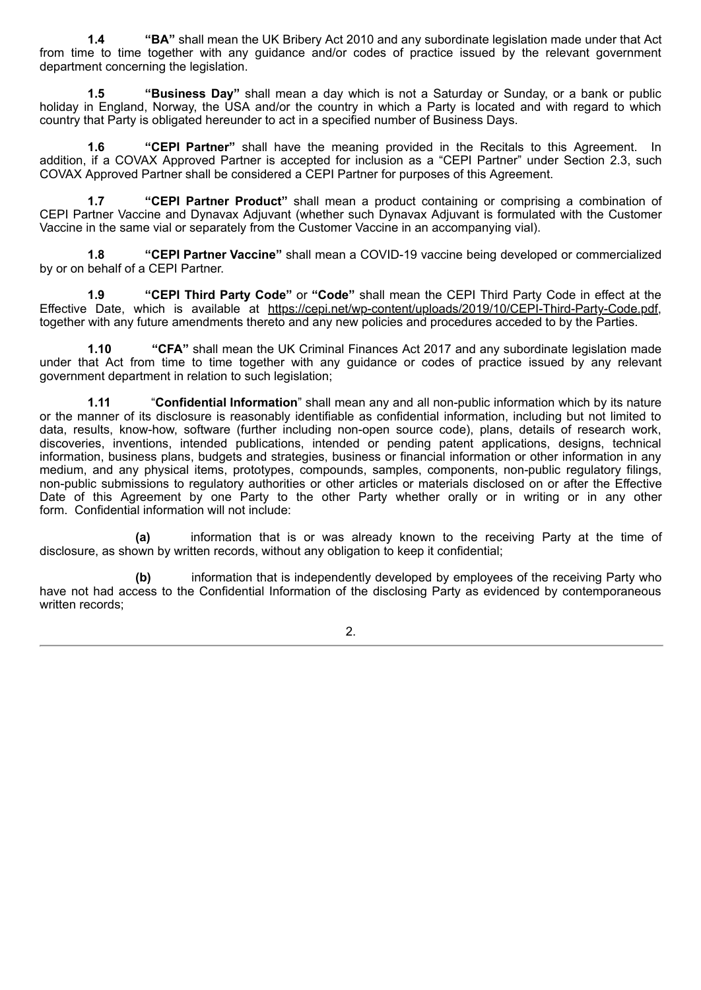**1.4 "BA"** shall mean the UK Bribery Act 2010 and any subordinate legislation made under that Act from time to time together with any guidance and/or codes of practice issued by the relevant government department concerning the legislation.

**1.5 "Business Day"** shall mean a day which is not a Saturday or Sunday, or a bank or public holiday in England, Norway, the USA and/or the country in which a Party is located and with regard to which country that Party is obligated hereunder to act in a specified number of Business Days.

**1.6 "CEPI Partner"** shall have the meaning provided in the Recitals to this Agreement. In addition, if a COVAX Approved Partner is accepted for inclusion as a "CEPI Partner" under Section 2.3, such COVAX Approved Partner shall be considered a CEPI Partner for purposes of this Agreement.

**1.7 "CEPI Partner Product"** shall mean a product containing or comprising a combination of CEPI Partner Vaccine and Dynavax Adjuvant (whether such Dynavax Adjuvant is formulated with the Customer Vaccine in the same vial or separately from the Customer Vaccine in an accompanying vial).

**1.8 "CEPI Partner Vaccine"** shall mean a COVID-19 vaccine being developed or commercialized by or on behalf of a CEPI Partner.

**1.9 "CEPI Third Party Code"** or **"Code"** shall mean the CEPI Third Party Code in effect at the Effective Date, which is available at https://cepi.net/wp-content/uploads/2019/10/CEPI-Third-Party-Code.pdf, together with any future amendments thereto and any new policies and procedures acceded to by the Parties.

**1.10 "CFA"** shall mean the UK Criminal Finances Act 2017 and any subordinate legislation made under that Act from time to time together with any guidance or codes of practice issued by any relevant government department in relation to such legislation;

**1.11** "**Confidential Information**" shall mean any and all non-public information which by its nature or the manner of its disclosure is reasonably identifiable as confidential information, including but not limited to data, results, know-how, software (further including non-open source code), plans, details of research work, discoveries, inventions, intended publications, intended or pending patent applications, designs, technical information, business plans, budgets and strategies, business or financial information or other information in any medium, and any physical items, prototypes, compounds, samples, components, non-public regulatory filings, non-public submissions to regulatory authorities or other articles or materials disclosed on or after the Effective Date of this Agreement by one Party to the other Party whether orally or in writing or in any other form. Confidential information will not include:

**(a)** information that is or was already known to the receiving Party at the time of disclosure, as shown by written records, without any obligation to keep it confidential;

**(b)** information that is independently developed by employees of the receiving Party who have not had access to the Confidential Information of the disclosing Party as evidenced by contemporaneous written records: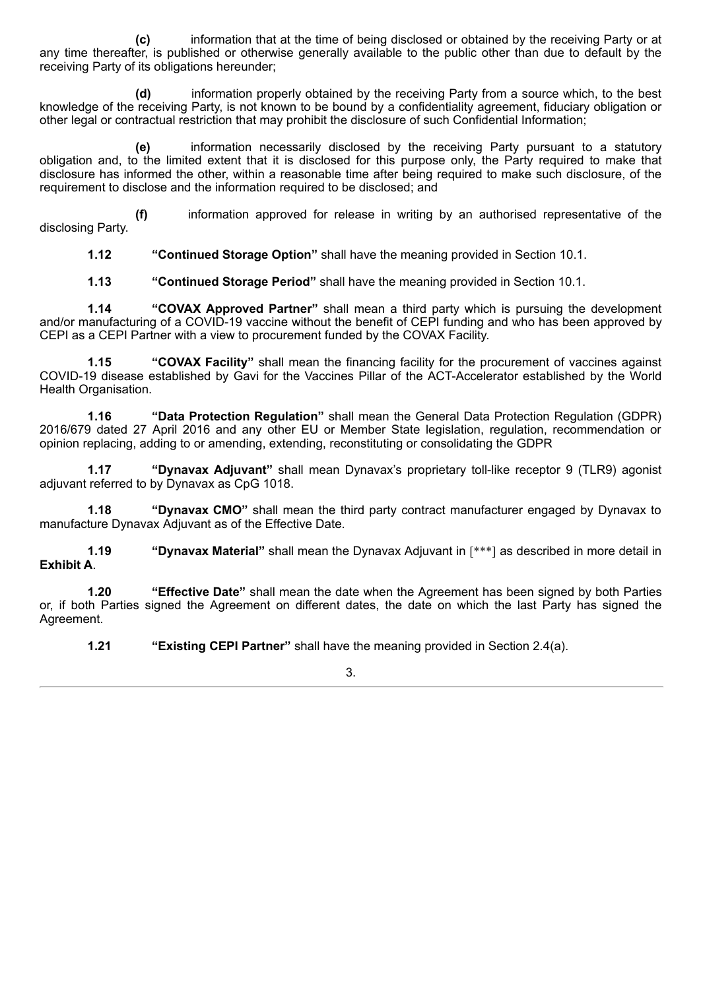**(c)** information that at the time of being disclosed or obtained by the receiving Party or at any time thereafter, is published or otherwise generally available to the public other than due to default by the receiving Party of its obligations hereunder;

**(d)** information properly obtained by the receiving Party from a source which, to the best knowledge of the receiving Party, is not known to be bound by a confidentiality agreement, fiduciary obligation or other legal or contractual restriction that may prohibit the disclosure of such Confidential Information;

**(e)** information necessarily disclosed by the receiving Party pursuant to a statutory obligation and, to the limited extent that it is disclosed for this purpose only, the Party required to make that disclosure has informed the other, within a reasonable time after being required to make such disclosure, of the requirement to disclose and the information required to be disclosed; and

**(f)** information approved for release in writing by an authorised representative of the disclosing Party.

**1.12 "Continued Storage Option"** shall have the meaning provided in Section 10.1.

**1.13 "Continued Storage Period"** shall have the meaning provided in Section 10.1.

**1.14 "COVAX Approved Partner"** shall mean a third party which is pursuing the development and/or manufacturing of a COVID-19 vaccine without the benefit of CEPI funding and who has been approved by CEPI as a CEPI Partner with a view to procurement funded by the COVAX Facility.

**1.15 "COVAX Facility"** shall mean the financing facility for the procurement of vaccines against COVID-19 disease established by Gavi for the Vaccines Pillar of the ACT-Accelerator established by the World Health Organisation.

**1.16 "Data Protection Regulation"** shall mean the General Data Protection Regulation (GDPR) 2016/679 dated 27 April 2016 and any other EU or Member State legislation, regulation, recommendation or opinion replacing, adding to or amending, extending, reconstituting or consolidating the GDPR

**1.17 "Dynavax Adjuvant"** shall mean Dynavax's proprietary toll-like receptor 9 (TLR9) agonist adjuvant referred to by Dynavax as CpG 1018.

**1.18 "Dynavax CMO"** shall mean the third party contract manufacturer engaged by Dynavax to manufacture Dynavax Adjuvant as of the Effective Date.

**1.19 "Dynavax Material"** shall mean the Dynavax Adjuvant in [\*\*\*] as described in more detail in **Exhibit A**.

**1.20 "Effective Date"** shall mean the date when the Agreement has been signed by both Parties or, if both Parties signed the Agreement on different dates, the date on which the last Party has signed the Agreement.

**1.21 "Existing CEPI Partner"** shall have the meaning provided in Section 2.4(a).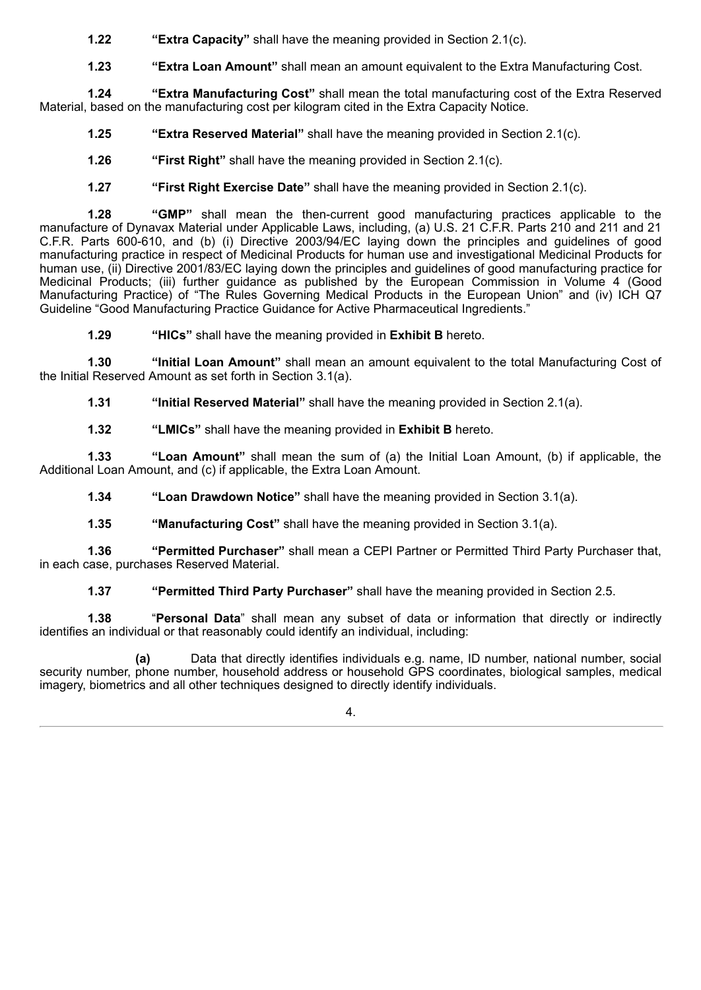**1.22 "Extra Capacity"** shall have the meaning provided in Section 2.1(c).

**1.23 "Extra Loan Amount"** shall mean an amount equivalent to the Extra Manufacturing Cost.

**1.24 "Extra Manufacturing Cost"** shall mean the total manufacturing cost of the Extra Reserved Material, based on the manufacturing cost per kilogram cited in the Extra Capacity Notice.

**1.25 "Extra Reserved Material"** shall have the meaning provided in Section 2.1(c).

**1.26 "First Right"** shall have the meaning provided in Section 2.1(c).

**1.27 "First Right Exercise Date"** shall have the meaning provided in Section 2.1(c).

**1.28 "GMP"** shall mean the then-current good manufacturing practices applicable to the manufacture of Dynavax Material under Applicable Laws, including, (a) U.S. 21 C.F.R. Parts 210 and 211 and 21 C.F.R. Parts 600-610, and (b) (i) Directive 2003/94/EC laying down the principles and guidelines of good manufacturing practice in respect of Medicinal Products for human use and investigational Medicinal Products for human use, (ii) Directive 2001/83/EC laying down the principles and guidelines of good manufacturing practice for Medicinal Products; (iii) further guidance as published by the European Commission in Volume 4 (Good Manufacturing Practice) of "The Rules Governing Medical Products in the European Union" and (iv) ICH Q7 Guideline "Good Manufacturing Practice Guidance for Active Pharmaceutical Ingredients."

**1.29 "HICs"** shall have the meaning provided in **Exhibit B** hereto.

**1.30 "Initial Loan Amount"** shall mean an amount equivalent to the total Manufacturing Cost of the Initial Reserved Amount as set forth in Section 3.1(a).

**1.31 "Initial Reserved Material"** shall have the meaning provided in Section 2.1(a).

**1.32 "LMICs"** shall have the meaning provided in **Exhibit B** hereto.

**1.33 "Loan Amount"** shall mean the sum of (a) the Initial Loan Amount, (b) if applicable, the Additional Loan Amount, and (c) if applicable, the Extra Loan Amount.

**1.34 "Loan Drawdown Notice"** shall have the meaning provided in Section 3.1(a).

**1.35 "Manufacturing Cost"** shall have the meaning provided in Section 3.1(a).

**1.36 "Permitted Purchaser"** shall mean a CEPI Partner or Permitted Third Party Purchaser that, in each case, purchases Reserved Material.

**1.37 "Permitted Third Party Purchaser"** shall have the meaning provided in Section 2.5.

**1.38** "**Personal Data**" shall mean any subset of data or information that directly or indirectly identifies an individual or that reasonably could identify an individual, including:

**(a)** Data that directly identifies individuals e.g. name, ID number, national number, social security number, phone number, household address or household GPS coordinates, biological samples, medical imagery, biometrics and all other techniques designed to directly identify individuals.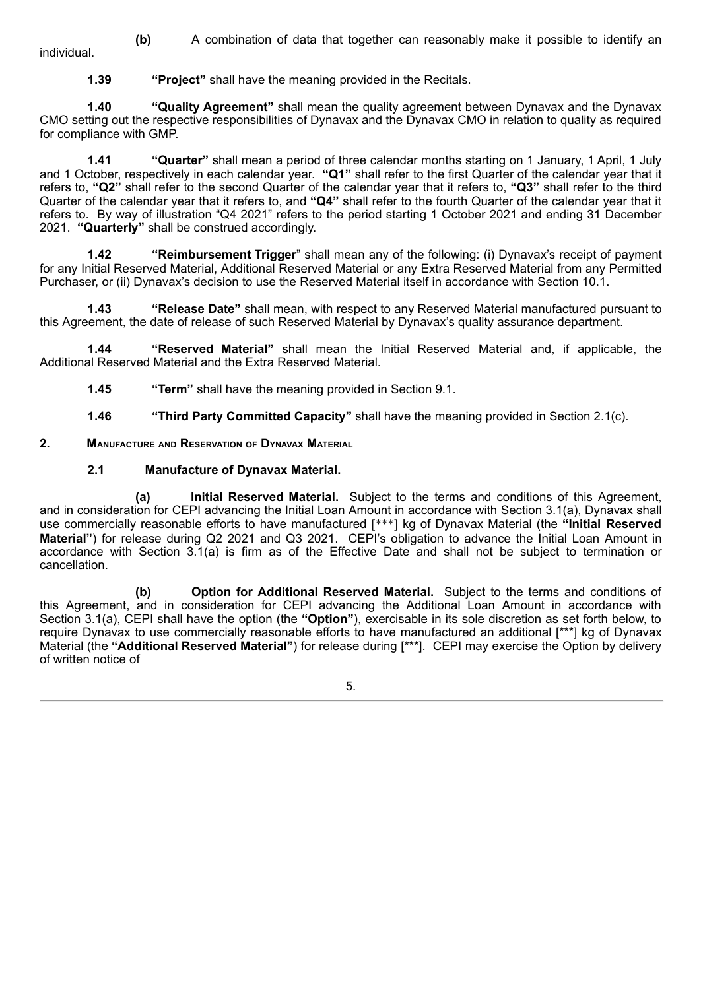**(b)** A combination of data that together can reasonably make it possible to identify an individual.

**1.39 "Project"** shall have the meaning provided in the Recitals.

**1.40 "Quality Agreement"** shall mean the quality agreement between Dynavax and the Dynavax CMO setting out the respective responsibilities of Dynavax and the Dynavax CMO in relation to quality as required for compliance with GMP.

**1.41 "Quarter"** shall mean a period of three calendar months starting on 1 January, 1 April, 1 July and 1 October, respectively in each calendar year. **"Q1"** shall refer to the first Quarter of the calendar year that it refers to, **"Q2"** shall refer to the second Quarter of the calendar year that it refers to, **"Q3"** shall refer to the third Quarter of the calendar year that it refers to, and **"Q4"** shall refer to the fourth Quarter of the calendar year that it refers to. By way of illustration "Q4 2021" refers to the period starting 1 October 2021 and ending 31 December 2021. **"Quarterly"** shall be construed accordingly.

**1.42 "Reimbursement Trigger**" shall mean any of the following: (i) Dynavax's receipt of payment for any Initial Reserved Material, Additional Reserved Material or any Extra Reserved Material from any Permitted Purchaser, or (ii) Dynavax's decision to use the Reserved Material itself in accordance with Section 10.1.

**1.43 "Release Date"** shall mean, with respect to any Reserved Material manufactured pursuant to this Agreement, the date of release of such Reserved Material by Dynavax's quality assurance department.

**1.44 "Reserved Material"** shall mean the Initial Reserved Material and, if applicable, the Additional Reserved Material and the Extra Reserved Material.

**1.45 "Term"** shall have the meaning provided in Section 9.1.

**1.46 "Third Party Committed Capacity"** shall have the meaning provided in Section 2.1(c).

**2. Manufacture and Reservation of Dynavax Material**

#### **2.1 Manufacture of Dynavax Material.**

**(a) Initial Reserved Material.** Subject to the terms and conditions of this Agreement, and in consideration for CEPI advancing the Initial Loan Amount in accordance with Section 3.1(a), Dynavax shall use commercially reasonable efforts to have manufactured [\*\*\*] kg of Dynavax Material (the **"Initial Reserved Material"**) for release during Q2 2021 and Q3 2021. CEPI's obligation to advance the Initial Loan Amount in accordance with Section 3.1(a) is firm as of the Effective Date and shall not be subject to termination or cancellation.

**(b) Option for Additional Reserved Material.** Subject to the terms and conditions of this Agreement, and in consideration for CEPI advancing the Additional Loan Amount in accordance with Section 3.1(a), CEPI shall have the option (the **"Option"**), exercisable in its sole discretion as set forth below, to require Dynavax to use commercially reasonable efforts to have manufactured an additional [\*\*\*] kg of Dynavax Material (the **"Additional Reserved Material"**) for release during [\*\*\*]. CEPI may exercise the Option by delivery of written notice of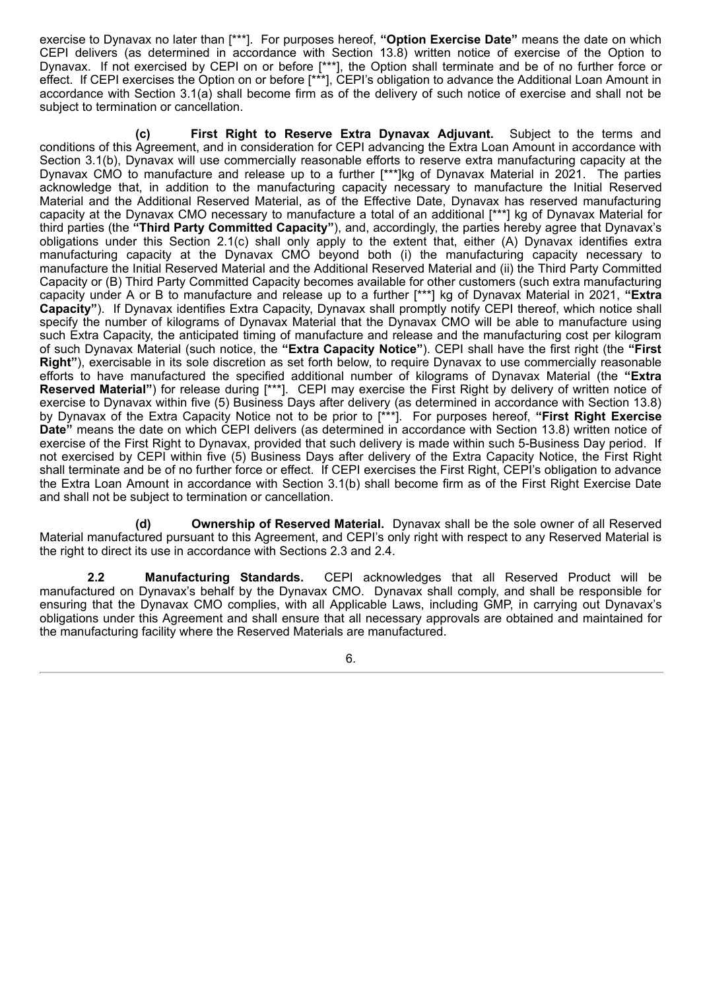exercise to Dynavax no later than [\*\*\*]. For purposes hereof, **"Option Exercise Date"** means the date on which CEPI delivers (as determined in accordance with Section 13.8) written notice of exercise of the Option to Dynavax. If not exercised by CEPI on or before [\*\*\*], the Option shall terminate and be of no further force or effect. If CEPI exercises the Option on or before [\*\*\*], CEPI's obligation to advance the Additional Loan Amount in accordance with Section 3.1(a) shall become firm as of the delivery of such notice of exercise and shall not be subject to termination or cancellation.

**(c) First Right to Reserve Extra Dynavax Adjuvant.** Subject to the terms and conditions of this Agreement, and in consideration for CEPI advancing the Extra Loan Amount in accordance with Section 3.1(b), Dynavax will use commercially reasonable efforts to reserve extra manufacturing capacity at the Dynavax CMO to manufacture and release up to a further [\*\*\*]kg of Dynavax Material in 2021. The parties acknowledge that, in addition to the manufacturing capacity necessary to manufacture the Initial Reserved Material and the Additional Reserved Material, as of the Effective Date, Dynavax has reserved manufacturing capacity at the Dynavax CMO necessary to manufacture a total of an additional [\*\*\*] kg of Dynavax Material for third parties (the **"Third Party Committed Capacity"**), and, accordingly, the parties hereby agree that Dynavax's obligations under this Section 2.1(c) shall only apply to the extent that, either (A) Dynavax identifies extra manufacturing capacity at the Dynavax CMO beyond both (i) the manufacturing capacity necessary to manufacture the Initial Reserved Material and the Additional Reserved Material and (ii) the Third Party Committed Capacity or (B) Third Party Committed Capacity becomes available for other customers (such extra manufacturing capacity under A or B to manufacture and release up to a further [\*\*\*] kg of Dynavax Material in 2021, **"Extra Capacity"**). If Dynavax identifies Extra Capacity, Dynavax shall promptly notify CEPI thereof, which notice shall specify the number of kilograms of Dynavax Material that the Dynavax CMO will be able to manufacture using such Extra Capacity, the anticipated timing of manufacture and release and the manufacturing cost per kilogram of such Dynavax Material (such notice, the **"Extra Capacity Notice"**). CEPI shall have the first right (the **"First Right"**), exercisable in its sole discretion as set forth below, to require Dynavax to use commercially reasonable efforts to have manufactured the specified additional number of kilograms of Dynavax Material (the **"Extra Reserved Material"**) for release during [\*\*\*]. CEPI may exercise the First Right by delivery of written notice of exercise to Dynavax within five (5) Business Days after delivery (as determined in accordance with Section 13.8) by Dynavax of the Extra Capacity Notice not to be prior to [\*\*\*]. For purposes hereof, **"First Right Exercise Date"** means the date on which CEPI delivers (as determined in accordance with Section 13.8) written notice of exercise of the First Right to Dynavax, provided that such delivery is made within such 5-Business Day period. If not exercised by CEPI within five (5) Business Days after delivery of the Extra Capacity Notice, the First Right shall terminate and be of no further force or effect. If CEPI exercises the First Right, CEPI's obligation to advance the Extra Loan Amount in accordance with Section 3.1(b) shall become firm as of the First Right Exercise Date and shall not be subject to termination or cancellation.

**(d) Ownership of Reserved Material.** Dynavax shall be the sole owner of all Reserved Material manufactured pursuant to this Agreement, and CEPI's only right with respect to any Reserved Material is the right to direct its use in accordance with Sections 2.3 and 2.4.

**2.2 Manufacturing Standards.** CEPI acknowledges that all Reserved Product will be manufactured on Dynavax's behalf by the Dynavax CMO. Dynavax shall comply, and shall be responsible for ensuring that the Dynavax CMO complies, with all Applicable Laws, including GMP, in carrying out Dynavax's obligations under this Agreement and shall ensure that all necessary approvals are obtained and maintained for the manufacturing facility where the Reserved Materials are manufactured.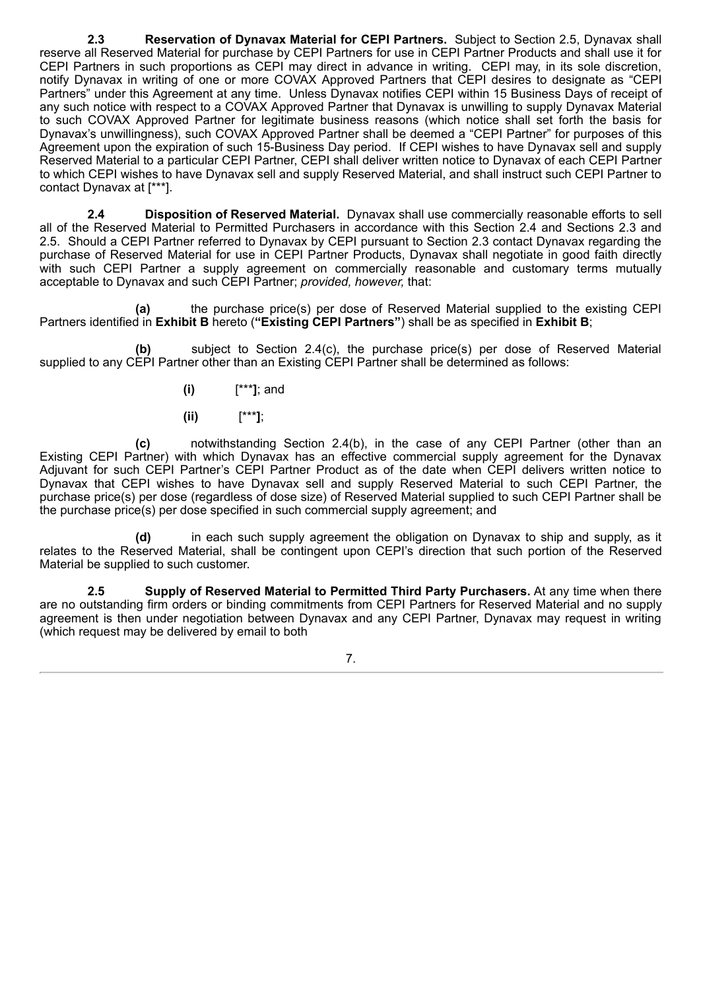**2.3 Reservation of Dynavax Material for CEPI Partners.** Subject to Section 2.5, Dynavax shall reserve all Reserved Material for purchase by CEPI Partners for use in CEPI Partner Products and shall use it for CEPI Partners in such proportions as CEPI may direct in advance in writing. CEPI may, in its sole discretion, notify Dynavax in writing of one or more COVAX Approved Partners that CEPI desires to designate as "CEPI Partners" under this Agreement at any time. Unless Dynavax notifies CEPI within 15 Business Days of receipt of any such notice with respect to a COVAX Approved Partner that Dynavax is unwilling to supply Dynavax Material to such COVAX Approved Partner for legitimate business reasons (which notice shall set forth the basis for Dynavax's unwillingness), such COVAX Approved Partner shall be deemed a "CEPI Partner" for purposes of this Agreement upon the expiration of such 15-Business Day period. If CEPI wishes to have Dynavax sell and supply Reserved Material to a particular CEPI Partner, CEPI shall deliver written notice to Dynavax of each CEPI Partner to which CEPI wishes to have Dynavax sell and supply Reserved Material, and shall instruct such CEPI Partner to contact Dynavax at [\*\*\*].

**2.4 Disposition of Reserved Material.** Dynavax shall use commercially reasonable efforts to sell all of the Reserved Material to Permitted Purchasers in accordance with this Section 2.4 and Sections 2.3 and 2.5. Should a CEPI Partner referred to Dynavax by CEPI pursuant to Section 2.3 contact Dynavax regarding the purchase of Reserved Material for use in CEPI Partner Products, Dynavax shall negotiate in good faith directly with such CEPI Partner a supply agreement on commercially reasonable and customary terms mutually acceptable to Dynavax and such CEPI Partner; *provided, however,* that:

**(a)** the purchase price(s) per dose of Reserved Material supplied to the existing CEPI Partners identified in **Exhibit B** hereto (**"Existing CEPI Partners"**) shall be as specified in **Exhibit B**;

**(b)** subject to Section 2.4(c), the purchase price(s) per dose of Reserved Material supplied to any CEPI Partner other than an Existing CEPI Partner shall be determined as follows:

- **(i)** [\*\*\***]**; and
- **(ii)** [\*\*\***]**;

**(c)** notwithstanding Section 2.4(b), in the case of any CEPI Partner (other than an Existing CEPI Partner) with which Dynavax has an effective commercial supply agreement for the Dynavax Adjuvant for such CEPI Partner's CEPI Partner Product as of the date when CEPI delivers written notice to Dynavax that CEPI wishes to have Dynavax sell and supply Reserved Material to such CEPI Partner, the purchase price(s) per dose (regardless of dose size) of Reserved Material supplied to such CEPI Partner shall be the purchase price(s) per dose specified in such commercial supply agreement; and

**(d)** in each such supply agreement the obligation on Dynavax to ship and supply, as it relates to the Reserved Material, shall be contingent upon CEPI's direction that such portion of the Reserved Material be supplied to such customer.

**2.5 Supply of Reserved Material to Permitted Third Party Purchasers.** At any time when there are no outstanding firm orders or binding commitments from CEPI Partners for Reserved Material and no supply agreement is then under negotiation between Dynavax and any CEPI Partner, Dynavax may request in writing (which request may be delivered by email to both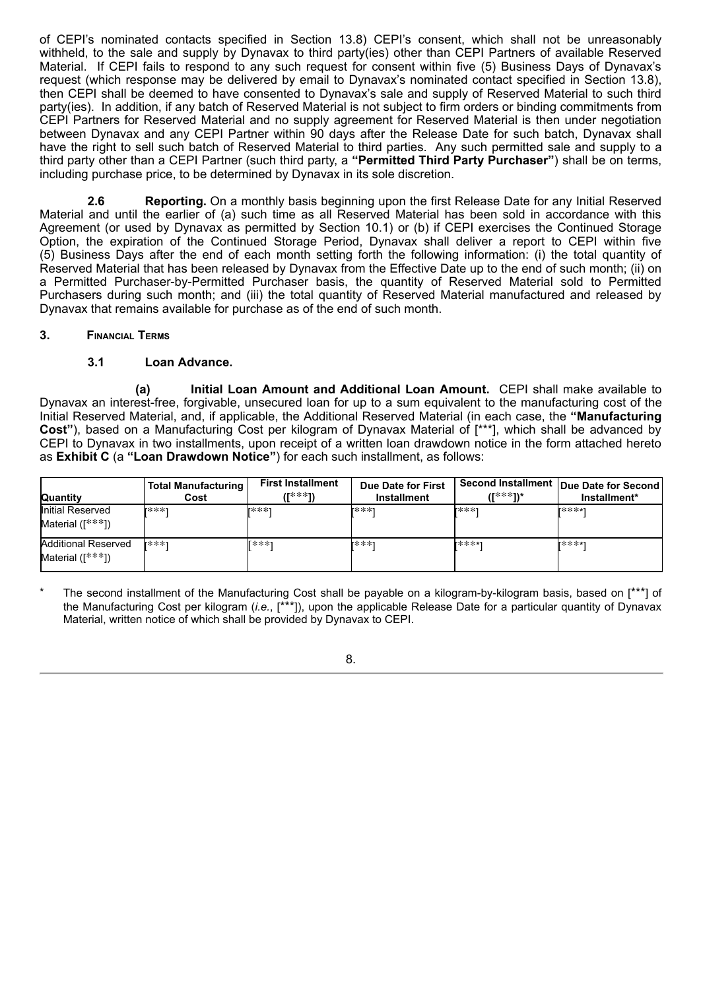of CEPI's nominated contacts specified in Section 13.8) CEPI's consent, which shall not be unreasonably withheld, to the sale and supply by Dynavax to third party(ies) other than CEPI Partners of available Reserved Material. If CEPI fails to respond to any such request for consent within five (5) Business Days of Dynavax's request (which response may be delivered by email to Dynavax's nominated contact specified in Section 13.8), then CEPI shall be deemed to have consented to Dynavax's sale and supply of Reserved Material to such third party(ies). In addition, if any batch of Reserved Material is not subject to firm orders or binding commitments from CEPI Partners for Reserved Material and no supply agreement for Reserved Material is then under negotiation between Dynavax and any CEPI Partner within 90 days after the Release Date for such batch, Dynavax shall have the right to sell such batch of Reserved Material to third parties. Any such permitted sale and supply to a third party other than a CEPI Partner (such third party, a **"Permitted Third Party Purchaser"**) shall be on terms, including purchase price, to be determined by Dynavax in its sole discretion.

**2.6 Reporting.** On a monthly basis beginning upon the first Release Date for any Initial Reserved Material and until the earlier of (a) such time as all Reserved Material has been sold in accordance with this Agreement (or used by Dynavax as permitted by Section 10.1) or (b) if CEPI exercises the Continued Storage Option, the expiration of the Continued Storage Period, Dynavax shall deliver a report to CEPI within five (5) Business Days after the end of each month setting forth the following information: (i) the total quantity of Reserved Material that has been released by Dynavax from the Effective Date up to the end of such month; (ii) on a Permitted Purchaser-by-Permitted Purchaser basis, the quantity of Reserved Material sold to Permitted Purchasers during such month; and (iii) the total quantity of Reserved Material manufactured and released by Dynavax that remains available for purchase as of the end of such month.

## **3. Financial Terms**

# **3.1 Loan Advance.**

**(a) Initial Loan Amount and Additional Loan Amount.** CEPI shall make available to Dynavax an interest-free, forgivable, unsecured loan for up to a sum equivalent to the manufacturing cost of the Initial Reserved Material, and, if applicable, the Additional Reserved Material (in each case, the **"Manufacturing Cost"**), based on a Manufacturing Cost per kilogram of Dynavax Material of [\*\*\*], which shall be advanced by CEPI to Dynavax in two installments, upon receipt of a written loan drawdown notice in the form attached hereto as **Exhibit C** (a **"Loan Drawdown Notice"**) for each such installment, as follows:

| Quantity                                       | <b>Total Manufacturing</b><br>Cost | <b>First Installment</b><br>/[***1\ | Due Date for First<br>Installment | //***1\* | Second Installment   Due Date for Second '<br>Installment* |
|------------------------------------------------|------------------------------------|-------------------------------------|-----------------------------------|----------|------------------------------------------------------------|
| Initial Reserved<br>Material ([***])           | r***1                              | r***1                               | r***1                             | r***1    | r****1                                                     |
| <b>Additional Reserved</b><br>Material ([***]) | r***1                              | 「***1                               | r***1                             | r****1   | r****1                                                     |

The second installment of the Manufacturing Cost shall be payable on a kilogram-by-kilogram basis, based on [\*\*\*] of the Manufacturing Cost per kilogram (*i.e.*, [\*\*\*]), upon the applicable Release Date for a particular quantity of Dynavax Material, written notice of which shall be provided by Dynavax to CEPI.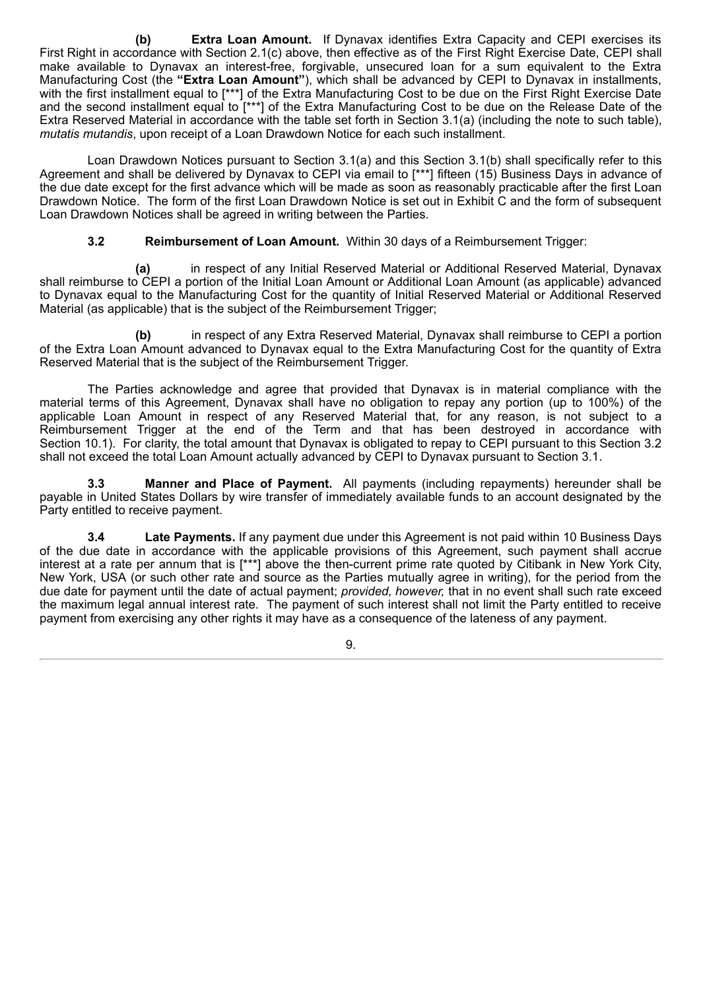**(b) Extra Loan Amount.** If Dynavax identifies Extra Capacity and CEPI exercises its First Right in accordance with Section 2.1(c) above, then effective as of the First Right Exercise Date, CEPI shall make available to Dynavax an interest-free, forgivable, unsecured loan for a sum equivalent to the Extra Manufacturing Cost (the **"Extra Loan Amount"**), which shall be advanced by CEPI to Dynavax in installments, with the first installment equal to [\*\*\*] of the Extra Manufacturing Cost to be due on the First Right Exercise Date and the second installment equal to [\*\*\*] of the Extra Manufacturing Cost to be due on the Release Date of the Extra Reserved Material in accordance with the table set forth in Section 3.1(a) (including the note to such table), *mutatis mutandis*, upon receipt of a Loan Drawdown Notice for each such installment.

Loan Drawdown Notices pursuant to Section 3.1(a) and this Section 3.1(b) shall specifically refer to this Agreement and shall be delivered by Dynavax to CEPI via email to [\*\*\*] fifteen (15) Business Days in advance of the due date except for the first advance which will be made as soon as reasonably practicable after the first Loan Drawdown Notice. The form of the first Loan Drawdown Notice is set out in Exhibit C and the form of subsequent Loan Drawdown Notices shall be agreed in writing between the Parties.

**3.2 Reimbursement of Loan Amount.** Within 30 days of a Reimbursement Trigger:

**(a)** in respect of any Initial Reserved Material or Additional Reserved Material, Dynavax shall reimburse to CEPI a portion of the Initial Loan Amount or Additional Loan Amount (as applicable) advanced to Dynavax equal to the Manufacturing Cost for the quantity of Initial Reserved Material or Additional Reserved Material (as applicable) that is the subject of the Reimbursement Trigger;

**(b)** in respect of any Extra Reserved Material, Dynavax shall reimburse to CEPI a portion of the Extra Loan Amount advanced to Dynavax equal to the Extra Manufacturing Cost for the quantity of Extra Reserved Material that is the subject of the Reimbursement Trigger.

The Parties acknowledge and agree that provided that Dynavax is in material compliance with the material terms of this Agreement, Dynavax shall have no obligation to repay any portion (up to 100%) of the applicable Loan Amount in respect of any Reserved Material that, for any reason, is not subject to a Reimbursement Trigger at the end of the Term and that has been destroyed in accordance with Section 10.1). For clarity, the total amount that Dynavax is obligated to repay to CEPI pursuant to this Section 3.2 shall not exceed the total Loan Amount actually advanced by CEPI to Dynavax pursuant to Section 3.1.

**3.3 Manner and Place of Payment.** All payments (including repayments) hereunder shall be payable in United States Dollars by wire transfer of immediately available funds to an account designated by the Party entitled to receive payment.

**3.4 Late Payments.** If any payment due under this Agreement is not paid within 10 Business Days of the due date in accordance with the applicable provisions of this Agreement, such payment shall accrue interest at a rate per annum that is [\*\*\*] above the then-current prime rate quoted by Citibank in New York City, New York, USA (or such other rate and source as the Parties mutually agree in writing), for the period from the due date for payment until the date of actual payment; *provided, however,* that in no event shall such rate exceed the maximum legal annual interest rate. The payment of such interest shall not limit the Party entitled to receive payment from exercising any other rights it may have as a consequence of the lateness of any payment.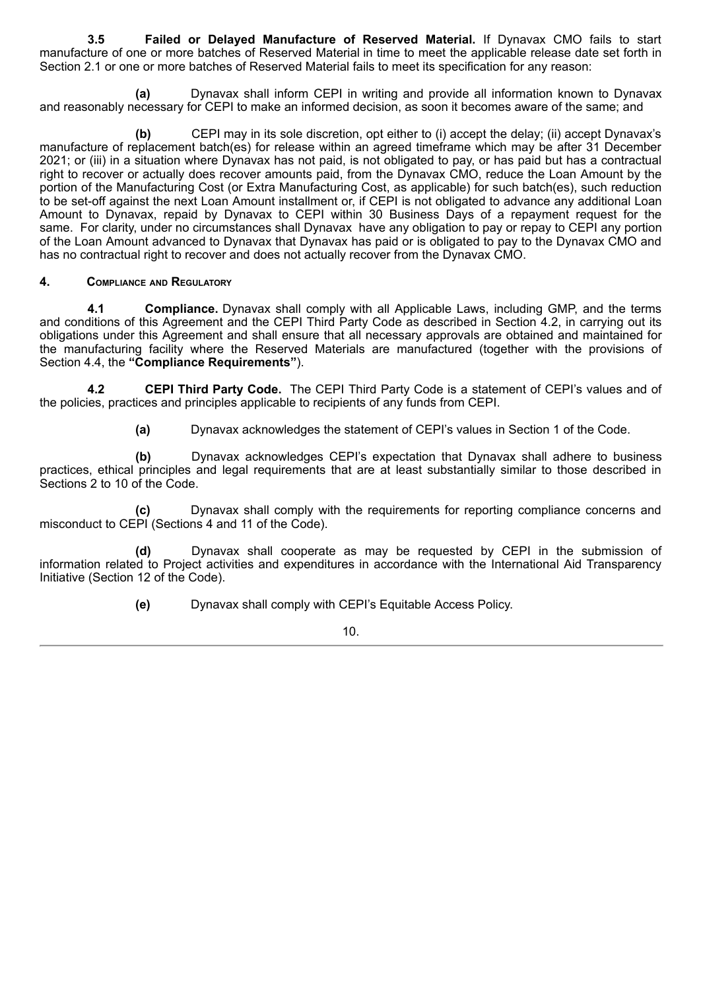**3.5 Failed or Delayed Manufacture of Reserved Material.** If Dynavax CMO fails to start manufacture of one or more batches of Reserved Material in time to meet the applicable release date set forth in Section 2.1 or one or more batches of Reserved Material fails to meet its specification for any reason:

**(a)** Dynavax shall inform CEPI in writing and provide all information known to Dynavax and reasonably necessary for CEPI to make an informed decision, as soon it becomes aware of the same; and

**(b)** CEPI may in its sole discretion, opt either to (i) accept the delay; (ii) accept Dynavax's manufacture of replacement batch(es) for release within an agreed timeframe which may be after 31 December 2021; or (iii) in a situation where Dynavax has not paid, is not obligated to pay, or has paid but has a contractual right to recover or actually does recover amounts paid, from the Dynavax CMO, reduce the Loan Amount by the portion of the Manufacturing Cost (or Extra Manufacturing Cost, as applicable) for such batch(es), such reduction to be set-off against the next Loan Amount installment or, if CEPI is not obligated to advance any additional Loan Amount to Dynavax, repaid by Dynavax to CEPI within 30 Business Days of a repayment request for the same. For clarity, under no circumstances shall Dynavax have any obligation to pay or repay to CEPI any portion of the Loan Amount advanced to Dynavax that Dynavax has paid or is obligated to pay to the Dynavax CMO and has no contractual right to recover and does not actually recover from the Dynavax CMO.

# **4. Compliance and Regulatory**

**4.1 Compliance.** Dynavax shall comply with all Applicable Laws, including GMP, and the terms and conditions of this Agreement and the CEPI Third Party Code as described in Section 4.2, in carrying out its obligations under this Agreement and shall ensure that all necessary approvals are obtained and maintained for the manufacturing facility where the Reserved Materials are manufactured (together with the provisions of Section 4.4, the **"Compliance Requirements"**).

**4.2 CEPI Third Party Code.** The CEPI Third Party Code is a statement of CEPI's values and of the policies, practices and principles applicable to recipients of any funds from CEPI.

**(a)** Dynavax acknowledges the statement of CEPI's values in Section 1 of the Code.

**(b)** Dynavax acknowledges CEPI's expectation that Dynavax shall adhere to business practices, ethical principles and legal requirements that are at least substantially similar to those described in Sections 2 to 10 of the Code.

**(c)** Dynavax shall comply with the requirements for reporting compliance concerns and misconduct to CEPI (Sections 4 and 11 of the Code).

**(d)** Dynavax shall cooperate as may be requested by CEPI in the submission of information related to Project activities and expenditures in accordance with the International Aid Transparency Initiative (Section 12 of the Code).

**(e)** Dynavax shall comply with CEPI's Equitable Access Policy.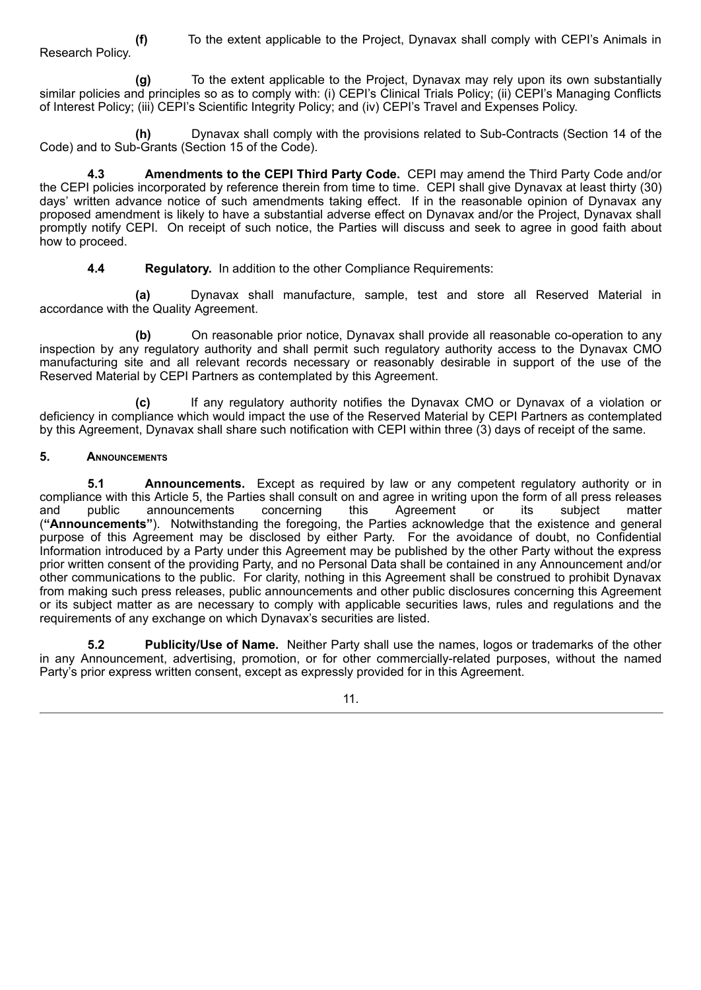**(f)** To the extent applicable to the Project, Dynavax shall comply with CEPI's Animals in Research Policy.

**(g)** To the extent applicable to the Project, Dynavax may rely upon its own substantially similar policies and principles so as to comply with: (i) CEPI's Clinical Trials Policy; (ii) CEPI's Managing Conflicts of Interest Policy; (iii) CEPI's Scientific Integrity Policy; and (iv) CEPI's Travel and Expenses Policy.

**(h)** Dynavax shall comply with the provisions related to Sub-Contracts (Section 14 of the Code) and to Sub-Grants (Section 15 of the Code).

**4.3 Amendments to the CEPI Third Party Code.** CEPI may amend the Third Party Code and/or the CEPI policies incorporated by reference therein from time to time. CEPI shall give Dynavax at least thirty (30) days' written advance notice of such amendments taking effect. If in the reasonable opinion of Dynavax any proposed amendment is likely to have a substantial adverse effect on Dynavax and/or the Project, Dynavax shall promptly notify CEPI. On receipt of such notice, the Parties will discuss and seek to agree in good faith about how to proceed.

**4.4 Regulatory.** In addition to the other Compliance Requirements:

**(a)** Dynavax shall manufacture, sample, test and store all Reserved Material in accordance with the Quality Agreement.

**(b)** On reasonable prior notice, Dynavax shall provide all reasonable co-operation to any inspection by any regulatory authority and shall permit such regulatory authority access to the Dynavax CMO manufacturing site and all relevant records necessary or reasonably desirable in support of the use of the Reserved Material by CEPI Partners as contemplated by this Agreement.

**(c)** If any regulatory authority notifies the Dynavax CMO or Dynavax of a violation or deficiency in compliance which would impact the use of the Reserved Material by CEPI Partners as contemplated by this Agreement, Dynavax shall share such notification with CEPI within three (3) days of receipt of the same.

# **5. Announcements**

**5.1 Announcements.** Except as required by law or any competent regulatory authority or in compliance with this Article 5, the Parties shall consult on and agree in writing upon the form of all press releases and public announcements concerning this Agreement or its subject matter (**"Announcements"**). Notwithstanding the foregoing, the Parties acknowledge that the existence and general purpose of this Agreement may be disclosed by either Party. For the avoidance of doubt, no Confidential Information introduced by a Party under this Agreement may be published by the other Party without the express prior written consent of the providing Party, and no Personal Data shall be contained in any Announcement and/or other communications to the public. For clarity, nothing in this Agreement shall be construed to prohibit Dynavax from making such press releases, public announcements and other public disclosures concerning this Agreement or its subject matter as are necessary to comply with applicable securities laws, rules and regulations and the requirements of any exchange on which Dynavax's securities are listed.

**5.2 Publicity/Use of Name.** Neither Party shall use the names, logos or trademarks of the other in any Announcement, advertising, promotion, or for other commercially-related purposes, without the named Party's prior express written consent, except as expressly provided for in this Agreement.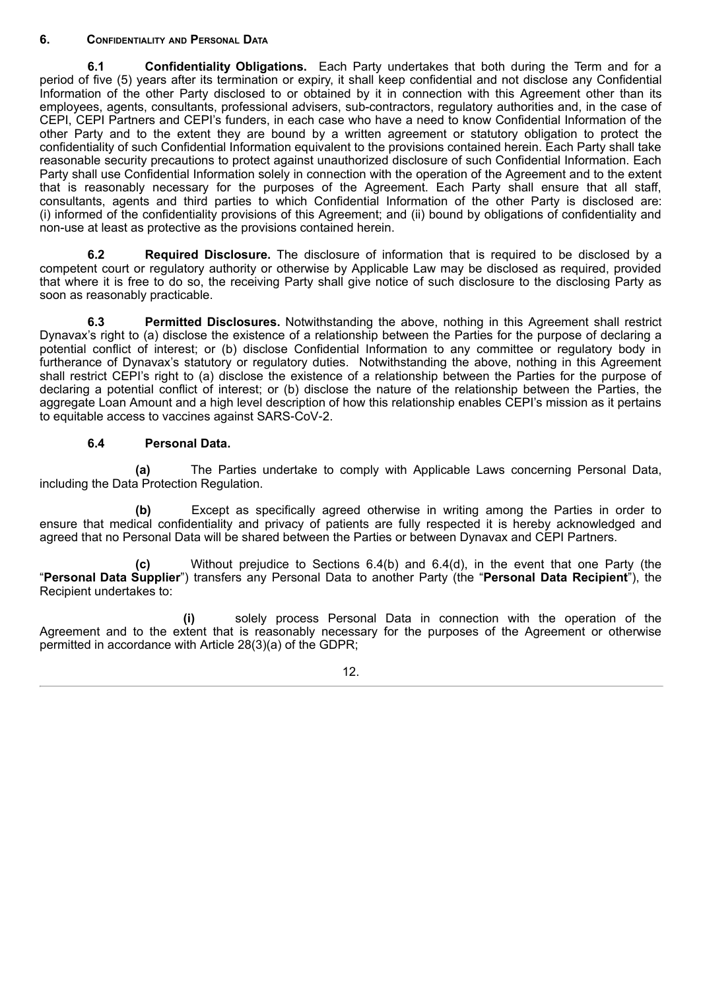# **6. Confidentiality and Personal Data**

**6.1 Confidentiality Obligations.** Each Party undertakes that both during the Term and for a period of five (5) years after its termination or expiry, it shall keep confidential and not disclose any Confidential Information of the other Party disclosed to or obtained by it in connection with this Agreement other than its employees, agents, consultants, professional advisers, sub-contractors, regulatory authorities and, in the case of CEPI, CEPI Partners and CEPI's funders, in each case who have a need to know Confidential Information of the other Party and to the extent they are bound by a written agreement or statutory obligation to protect the confidentiality of such Confidential Information equivalent to the provisions contained herein. Each Party shall take reasonable security precautions to protect against unauthorized disclosure of such Confidential Information. Each Party shall use Confidential Information solely in connection with the operation of the Agreement and to the extent that is reasonably necessary for the purposes of the Agreement. Each Party shall ensure that all staff, consultants, agents and third parties to which Confidential Information of the other Party is disclosed are: (i) informed of the confidentiality provisions of this Agreement; and (ii) bound by obligations of confidentiality and non-use at least as protective as the provisions contained herein.

**6.2 Required Disclosure.** The disclosure of information that is required to be disclosed by a competent court or regulatory authority or otherwise by Applicable Law may be disclosed as required, provided that where it is free to do so, the receiving Party shall give notice of such disclosure to the disclosing Party as soon as reasonably practicable.

**6.3 Permitted Disclosures.** Notwithstanding the above, nothing in this Agreement shall restrict Dynavax's right to (a) disclose the existence of a relationship between the Parties for the purpose of declaring a potential conflict of interest; or (b) disclose Confidential Information to any committee or regulatory body in furtherance of Dynavax's statutory or regulatory duties. Notwithstanding the above, nothing in this Agreement shall restrict CEPI's right to (a) disclose the existence of a relationship between the Parties for the purpose of declaring a potential conflict of interest; or (b) disclose the nature of the relationship between the Parties, the aggregate Loan Amount and a high level description of how this relationship enables CEPI's mission as it pertains to equitable access to vaccines against SARS‑CoV‑2.

# **6.4 Personal Data.**

**(a)** The Parties undertake to comply with Applicable Laws concerning Personal Data, including the Data Protection Regulation.

**(b)** Except as specifically agreed otherwise in writing among the Parties in order to ensure that medical confidentiality and privacy of patients are fully respected it is hereby acknowledged and agreed that no Personal Data will be shared between the Parties or between Dynavax and CEPI Partners.

**(c)** Without prejudice to Sections 6.4(b) and 6.4(d), in the event that one Party (the "**Personal Data Supplier**") transfers any Personal Data to another Party (the "**Personal Data Recipient**"), the Recipient undertakes to:

**(i)** solely process Personal Data in connection with the operation of the Agreement and to the extent that is reasonably necessary for the purposes of the Agreement or otherwise permitted in accordance with Article 28(3)(a) of the GDPR;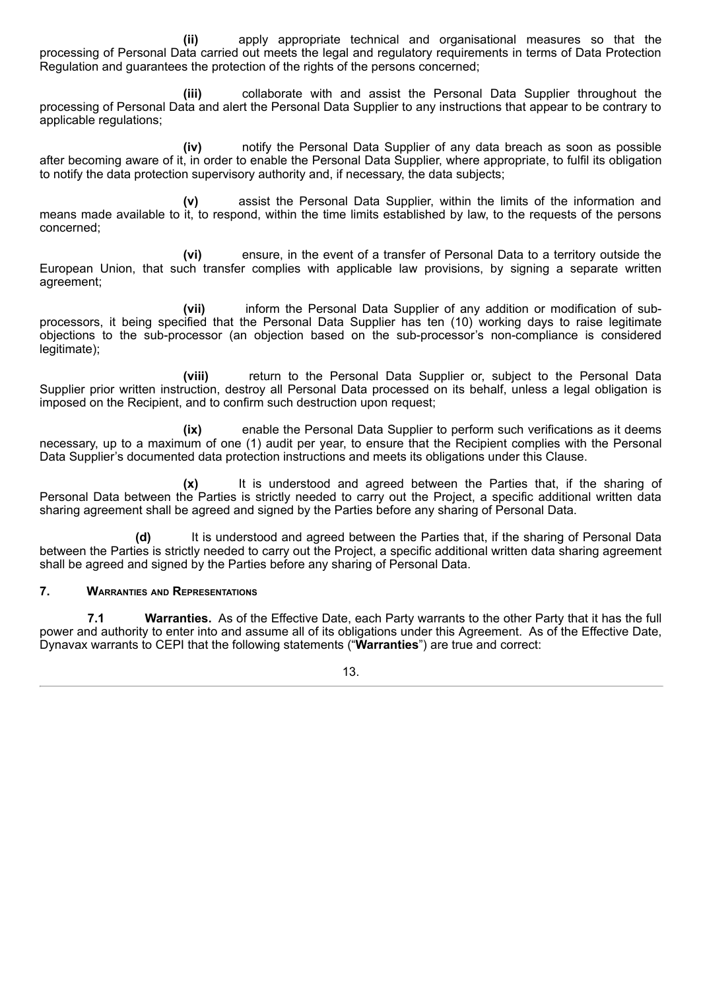**(ii)** apply appropriate technical and organisational measures so that the processing of Personal Data carried out meets the legal and regulatory requirements in terms of Data Protection Regulation and guarantees the protection of the rights of the persons concerned;

**(iii)** collaborate with and assist the Personal Data Supplier throughout the processing of Personal Data and alert the Personal Data Supplier to any instructions that appear to be contrary to applicable regulations;

**(iv)** notify the Personal Data Supplier of any data breach as soon as possible after becoming aware of it, in order to enable the Personal Data Supplier, where appropriate, to fulfil its obligation to notify the data protection supervisory authority and, if necessary, the data subjects;

**(v)** assist the Personal Data Supplier, within the limits of the information and means made available to it, to respond, within the time limits established by law, to the requests of the persons concerned;

**(vi)** ensure, in the event of a transfer of Personal Data to a territory outside the European Union, that such transfer complies with applicable law provisions, by signing a separate written agreement;

**(vii)** inform the Personal Data Supplier of any addition or modification of subprocessors, it being specified that the Personal Data Supplier has ten (10) working days to raise legitimate objections to the sub-processor (an objection based on the sub-processor's non-compliance is considered legitimate);

**(viii)** return to the Personal Data Supplier or, subject to the Personal Data Supplier prior written instruction, destrov all Personal Data processed on its behalf, unless a legal obligation is imposed on the Recipient, and to confirm such destruction upon request;

**(ix)** enable the Personal Data Supplier to perform such verifications as it deems necessary, up to a maximum of one (1) audit per year, to ensure that the Recipient complies with the Personal Data Supplier's documented data protection instructions and meets its obligations under this Clause.

**(x)** It is understood and agreed between the Parties that, if the sharing of Personal Data between the Parties is strictly needed to carry out the Project, a specific additional written data sharing agreement shall be agreed and signed by the Parties before any sharing of Personal Data.

**(d)** It is understood and agreed between the Parties that, if the sharing of Personal Data between the Parties is strictly needed to carry out the Project, a specific additional written data sharing agreement shall be agreed and signed by the Parties before any sharing of Personal Data.

## **7. Warranties and Representations**

**7.1 Warranties.** As of the Effective Date, each Party warrants to the other Party that it has the full power and authority to enter into and assume all of its obligations under this Agreement. As of the Effective Date, Dynavax warrants to CEPI that the following statements ("**Warranties**") are true and correct: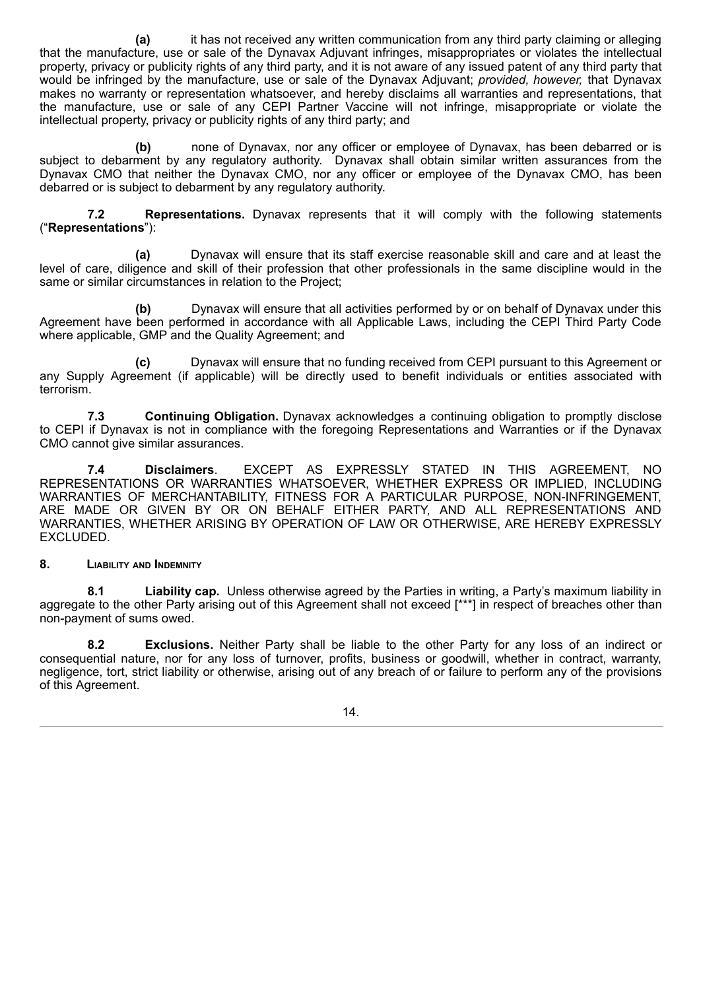**(a)** it has not received any written communication from any third party claiming or alleging that the manufacture, use or sale of the Dynavax Adjuvant infringes, misappropriates or violates the intellectual property, privacy or publicity rights of any third party, and it is not aware of any issued patent of any third party that would be infringed by the manufacture, use or sale of the Dynavax Adjuvant; *provided, however,* that Dynavax makes no warranty or representation whatsoever, and hereby disclaims all warranties and representations, that the manufacture, use or sale of any CEPI Partner Vaccine will not infringe, misappropriate or violate the intellectual property, privacy or publicity rights of any third party; and

**(b)** none of Dynavax, nor any officer or employee of Dynavax, has been debarred or is subject to debarment by any regulatory authority. Dynavax shall obtain similar written assurances from the Dynavax CMO that neither the Dynavax CMO, nor any officer or employee of the Dynavax CMO, has been debarred or is subject to debarment by any regulatory authority.

**7.2 Representations.** Dynavax represents that it will comply with the following statements ("**Representations**"):

**(a)** Dynavax will ensure that its staff exercise reasonable skill and care and at least the level of care, diligence and skill of their profession that other professionals in the same discipline would in the same or similar circumstances in relation to the Project;

**(b)** Dynavax will ensure that all activities performed by or on behalf of Dynavax under this Agreement have been performed in accordance with all Applicable Laws, including the CEPI Third Party Code where applicable, GMP and the Quality Agreement; and

**(c)** Dynavax will ensure that no funding received from CEPI pursuant to this Agreement or any Supply Agreement (if applicable) will be directly used to benefit individuals or entities associated with terrorism.

**7.3 Continuing Obligation.** Dynavax acknowledges a continuing obligation to promptly disclose to CEPI if Dynavax is not in compliance with the foregoing Representations and Warranties or if the Dynavax CMO cannot give similar assurances.

**7.4 Disclaimers**. EXCEPT AS EXPRESSLY STATED IN THIS AGREEMENT, NO REPRESENTATIONS OR WARRANTIES WHATSOEVER, WHETHER EXPRESS OR IMPLIED, INCLUDING WARRANTIES OF MERCHANTABILITY, FITNESS FOR A PARTICULAR PURPOSE, NON-INFRINGEMENT, ARE MADE OR GIVEN BY OR ON BEHALF EITHER PARTY, AND ALL REPRESENTATIONS AND WARRANTIES, WHETHER ARISING BY OPERATION OF LAW OR OTHERWISE, ARE HEREBY EXPRESSLY EXCLUDED.

## **8. Liability and Indemnity**

**8.1 Liability cap.** Unless otherwise agreed by the Parties in writing, a Party's maximum liability in aggregate to the other Party arising out of this Agreement shall not exceed [\*\*\*] in respect of breaches other than non-payment of sums owed.

**8.2 Exclusions.** Neither Party shall be liable to the other Party for any loss of an indirect or consequential nature, nor for any loss of turnover, profits, business or goodwill, whether in contract, warranty, negligence, tort, strict liability or otherwise, arising out of any breach of or failure to perform any of the provisions of this Agreement.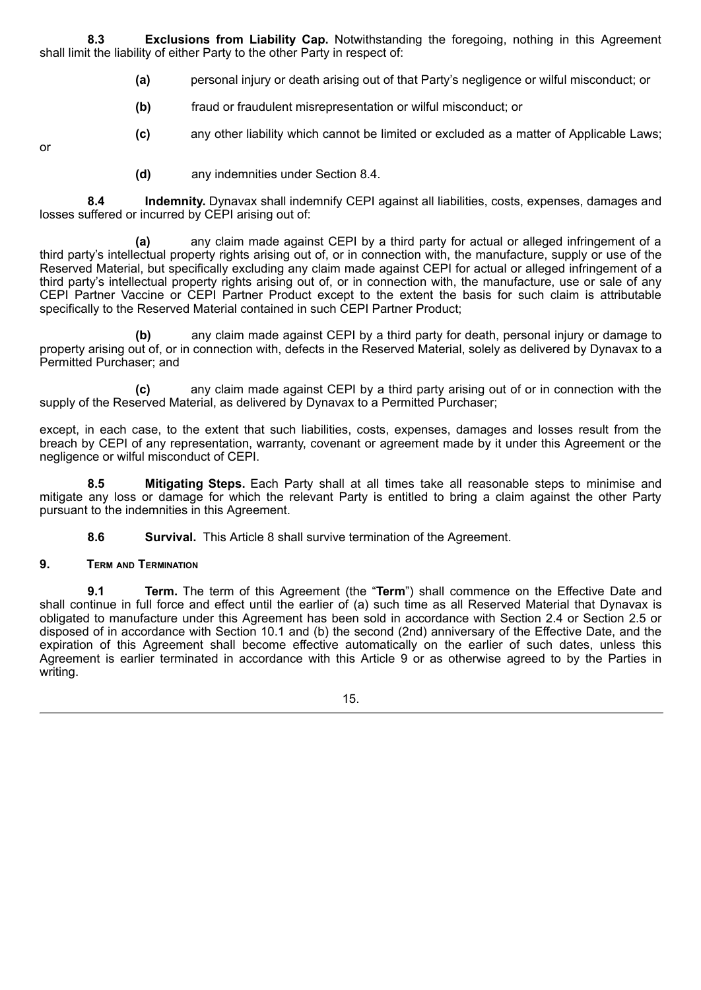**8.3 Exclusions from Liability Cap.** Notwithstanding the foregoing, nothing in this Agreement shall limit the liability of either Party to the other Party in respect of:

- **(a)** personal injury or death arising out of that Party's negligence or wilful misconduct; or
- **(b)** fraud or fraudulent misrepresentation or wilful misconduct; or
- **(c)** any other liability which cannot be limited or excluded as a matter of Applicable Laws;

or

**(d)** any indemnities under Section 8.4.

**8.4 Indemnity.** Dynavax shall indemnify CEPI against all liabilities, costs, expenses, damages and losses suffered or incurred by CEPI arising out of:

**(a)** any claim made against CEPI by a third party for actual or alleged infringement of a third party's intellectual property rights arising out of, or in connection with, the manufacture, supply or use of the Reserved Material, but specifically excluding any claim made against CEPI for actual or alleged infringement of a third party's intellectual property rights arising out of, or in connection with, the manufacture, use or sale of any CEPI Partner Vaccine or CEPI Partner Product except to the extent the basis for such claim is attributable specifically to the Reserved Material contained in such CEPI Partner Product;

**(b)** any claim made against CEPI by a third party for death, personal injury or damage to property arising out of, or in connection with, defects in the Reserved Material, solely as delivered by Dynavax to a Permitted Purchaser; and

**(c)** any claim made against CEPI by a third party arising out of or in connection with the supply of the Reserved Material, as delivered by Dynavax to a Permitted Purchaser;

except, in each case, to the extent that such liabilities, costs, expenses, damages and losses result from the breach by CEPI of any representation, warranty, covenant or agreement made by it under this Agreement or the negligence or wilful misconduct of CEPI.

**8.5 Mitigating Steps.** Each Party shall at all times take all reasonable steps to minimise and mitigate any loss or damage for which the relevant Party is entitled to bring a claim against the other Party pursuant to the indemnities in this Agreement.

**8.6 Survival.** This Article 8 shall survive termination of the Agreement.

## **9. Term and Termination**

**9.1 Term.** The term of this Agreement (the "**Term**") shall commence on the Effective Date and shall continue in full force and effect until the earlier of (a) such time as all Reserved Material that Dynavax is obligated to manufacture under this Agreement has been sold in accordance with Section 2.4 or Section 2.5 or disposed of in accordance with Section 10.1 and (b) the second (2nd) anniversary of the Effective Date, and the expiration of this Agreement shall become effective automatically on the earlier of such dates, unless this Agreement is earlier terminated in accordance with this Article 9 or as otherwise agreed to by the Parties in writing.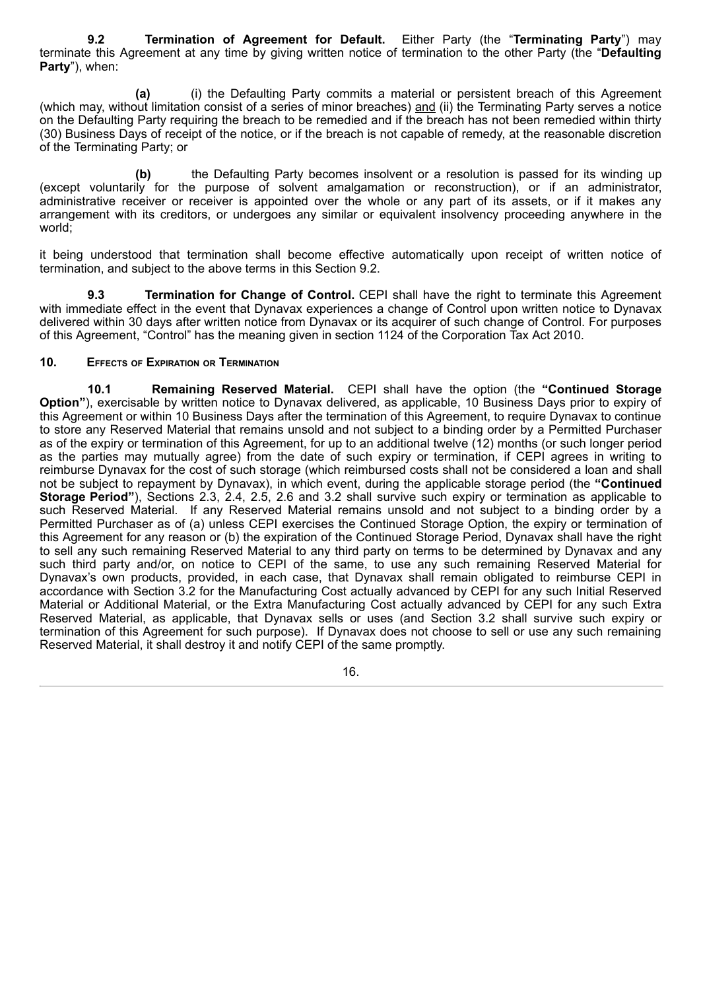**9.2 Termination of Agreement for Default.** Either Party (the "**Terminating Party**") may terminate this Agreement at any time by giving written notice of termination to the other Party (the "**Defaulting Party**"), when:

**(a)** (i) the Defaulting Party commits a material or persistent breach of this Agreement (which may, without limitation consist of a series of minor breaches) and (ii) the Terminating Party serves a notice on the Defaulting Party requiring the breach to be remedied and if the breach has not been remedied within thirty (30) Business Days of receipt of the notice, or if the breach is not capable of remedy, at the reasonable discretion of the Terminating Party; or

**(b)** the Defaulting Party becomes insolvent or a resolution is passed for its winding up (except voluntarily for the purpose of solvent amalgamation or reconstruction), or if an administrator, administrative receiver or receiver is appointed over the whole or any part of its assets, or if it makes any arrangement with its creditors, or undergoes any similar or equivalent insolvency proceeding anywhere in the world;

it being understood that termination shall become effective automatically upon receipt of written notice of termination, and subject to the above terms in this Section 9.2.

**9.3 Termination for Change of Control.** CEPI shall have the right to terminate this Agreement with immediate effect in the event that Dynavax experiences a change of Control upon written notice to Dynavax delivered within 30 days after written notice from Dynavax or its acquirer of such change of Control. For purposes of this Agreement, "Control" has the meaning given in section 1124 of the Corporation Tax Act 2010.

# **10. Effects of Expiration or Termination**

**10.1 Remaining Reserved Material.** CEPI shall have the option (the **"Continued Storage Option"**), exercisable by written notice to Dynavax delivered, as applicable, 10 Business Days prior to expiry of this Agreement or within 10 Business Days after the termination of this Agreement, to require Dynavax to continue to store any Reserved Material that remains unsold and not subject to a binding order by a Permitted Purchaser as of the expiry or termination of this Agreement, for up to an additional twelve (12) months (or such longer period as the parties may mutually agree) from the date of such expiry or termination, if CEPI agrees in writing to reimburse Dynavax for the cost of such storage (which reimbursed costs shall not be considered a loan and shall not be subject to repayment by Dynavax), in which event, during the applicable storage period (the **"Continued Storage Period"**), Sections 2.3, 2.4, 2.5, 2.6 and 3.2 shall survive such expiry or termination as applicable to such Reserved Material. If any Reserved Material remains unsold and not subject to a binding order by a Permitted Purchaser as of (a) unless CEPI exercises the Continued Storage Option, the expiry or termination of this Agreement for any reason or (b) the expiration of the Continued Storage Period, Dynavax shall have the right to sell any such remaining Reserved Material to any third party on terms to be determined by Dynavax and any such third party and/or, on notice to CEPI of the same, to use any such remaining Reserved Material for Dynavax's own products, provided, in each case, that Dynavax shall remain obligated to reimburse CEPI in accordance with Section 3.2 for the Manufacturing Cost actually advanced by CEPI for any such Initial Reserved Material or Additional Material, or the Extra Manufacturing Cost actually advanced by CEPI for any such Extra Reserved Material, as applicable, that Dynavax sells or uses (and Section 3.2 shall survive such expiry or termination of this Agreement for such purpose). If Dynavax does not choose to sell or use any such remaining Reserved Material, it shall destroy it and notify CEPI of the same promptly.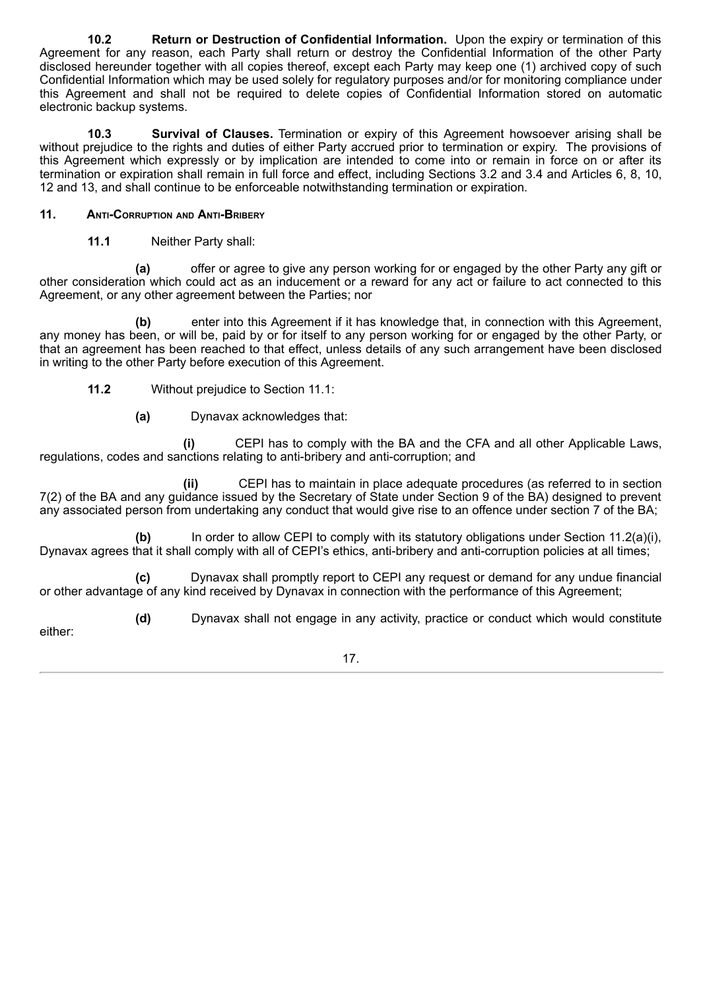**10.2 Return or Destruction of Confidential Information.** Upon the expiry or termination of this Agreement for any reason, each Party shall return or destroy the Confidential Information of the other Party disclosed hereunder together with all copies thereof, except each Party may keep one (1) archived copy of such Confidential Information which may be used solely for regulatory purposes and/or for monitoring compliance under this Agreement and shall not be required to delete copies of Confidential Information stored on automatic electronic backup systems.

**10.3 Survival of Clauses.** Termination or expiry of this Agreement howsoever arising shall be without prejudice to the rights and duties of either Party accrued prior to termination or expiry. The provisions of this Agreement which expressly or by implication are intended to come into or remain in force on or after its termination or expiration shall remain in full force and effect, including Sections 3.2 and 3.4 and Articles 6, 8, 10, 12 and 13, and shall continue to be enforceable notwithstanding termination or expiration.

# **11. Anti-Corruption and Anti-Bribery**

**11.1** Neither Party shall:

**(a)** offer or agree to give any person working for or engaged by the other Party any gift or other consideration which could act as an inducement or a reward for any act or failure to act connected to this Agreement, or any other agreement between the Parties; nor

**(b)** enter into this Agreement if it has knowledge that, in connection with this Agreement, any money has been, or will be, paid by or for itself to any person working for or engaged by the other Party, or that an agreement has been reached to that effect, unless details of any such arrangement have been disclosed in writing to the other Party before execution of this Agreement.

- **11.2** Without prejudice to Section 11.1:
	- **(a)** Dynavax acknowledges that:

**(i)** CEPI has to comply with the BA and the CFA and all other Applicable Laws, regulations, codes and sanctions relating to anti-bribery and anti-corruption; and

**(ii)** CEPI has to maintain in place adequate procedures (as referred to in section 7(2) of the BA and any guidance issued by the Secretary of State under Section 9 of the BA) designed to prevent any associated person from undertaking any conduct that would give rise to an offence under section 7 of the BA;

**(b)** In order to allow CEPI to comply with its statutory obligations under Section 11.2(a)(i), Dynavax agrees that it shall comply with all of CEPI's ethics, anti-bribery and anti-corruption policies at all times;

**(c)** Dynavax shall promptly report to CEPI any request or demand for any undue financial or other advantage of any kind received by Dynavax in connection with the performance of this Agreement;

**(d)** Dynavax shall not engage in any activity, practice or conduct which would constitute

either: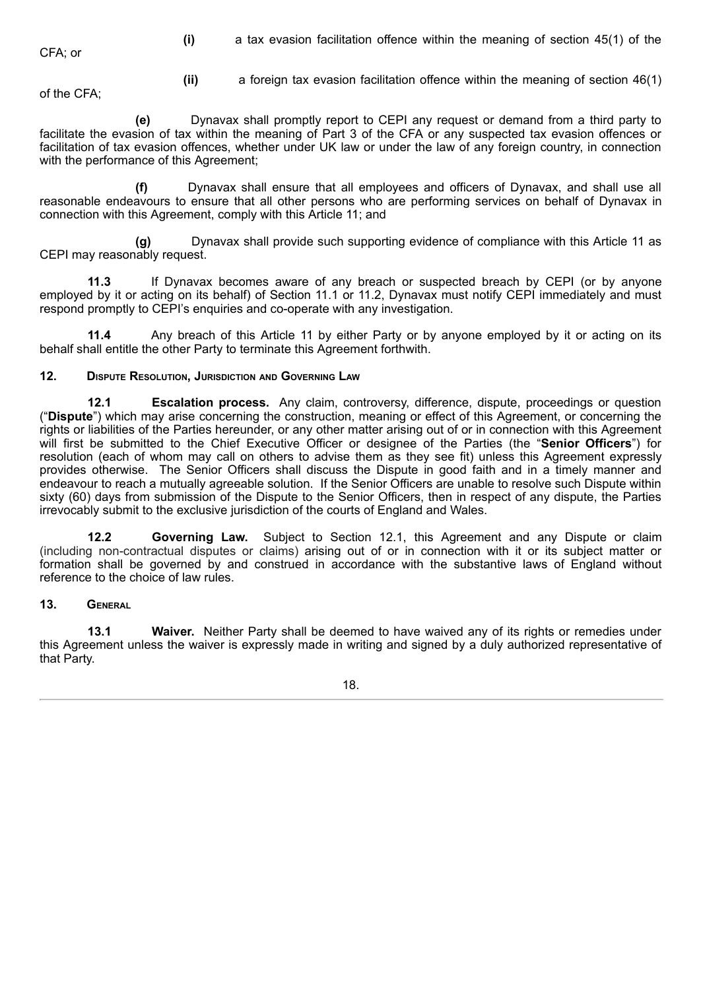CFA; or

**(i)** a tax evasion facilitation offence within the meaning of section 45(1) of the

of the CFA;

**(ii)** a foreign tax evasion facilitation offence within the meaning of section 46(1)

**(e)** Dynavax shall promptly report to CEPI any request or demand from a third party to facilitate the evasion of tax within the meaning of Part 3 of the CFA or any suspected tax evasion offences or facilitation of tax evasion offences, whether under UK law or under the law of any foreign country, in connection with the performance of this Agreement;

**(f)** Dynavax shall ensure that all employees and officers of Dynavax, and shall use all reasonable endeavours to ensure that all other persons who are performing services on behalf of Dynavax in connection with this Agreement, comply with this Article 11; and

**(g)** Dynavax shall provide such supporting evidence of compliance with this Article 11 as CEPI may reasonably request.

**11.3** If Dynavax becomes aware of any breach or suspected breach by CEPI (or by anyone employed by it or acting on its behalf) of Section 11.1 or 11.2, Dynavax must notify CEPI immediately and must respond promptly to CEPI's enquiries and co-operate with any investigation.

**11.4** Any breach of this Article 11 by either Party or by anyone employed by it or acting on its behalf shall entitle the other Party to terminate this Agreement forthwith.

# **12. Dispute Resolution, Jurisdiction and Governing Law**

**12.1 Escalation process.** Any claim, controversy, difference, dispute, proceedings or question ("**Dispute**") which may arise concerning the construction, meaning or effect of this Agreement, or concerning the rights or liabilities of the Parties hereunder, or any other matter arising out of or in connection with this Agreement will first be submitted to the Chief Executive Officer or designee of the Parties (the "**Senior Officers**") for resolution (each of whom may call on others to advise them as they see fit) unless this Agreement expressly provides otherwise. The Senior Officers shall discuss the Dispute in good faith and in a timely manner and endeavour to reach a mutually agreeable solution. If the Senior Officers are unable to resolve such Dispute within sixty (60) days from submission of the Dispute to the Senior Officers, then in respect of any dispute, the Parties irrevocably submit to the exclusive jurisdiction of the courts of England and Wales.

**12.2 Governing Law.** Subject to Section 12.1, this Agreement and any Dispute or claim (including non-contractual disputes or claims) arising out of or in connection with it or its subject matter or formation shall be governed by and construed in accordance with the substantive laws of England without reference to the choice of law rules.

## **13. General**

**13.1 Waiver.** Neither Party shall be deemed to have waived any of its rights or remedies under this Agreement unless the waiver is expressly made in writing and signed by a duly authorized representative of that Party.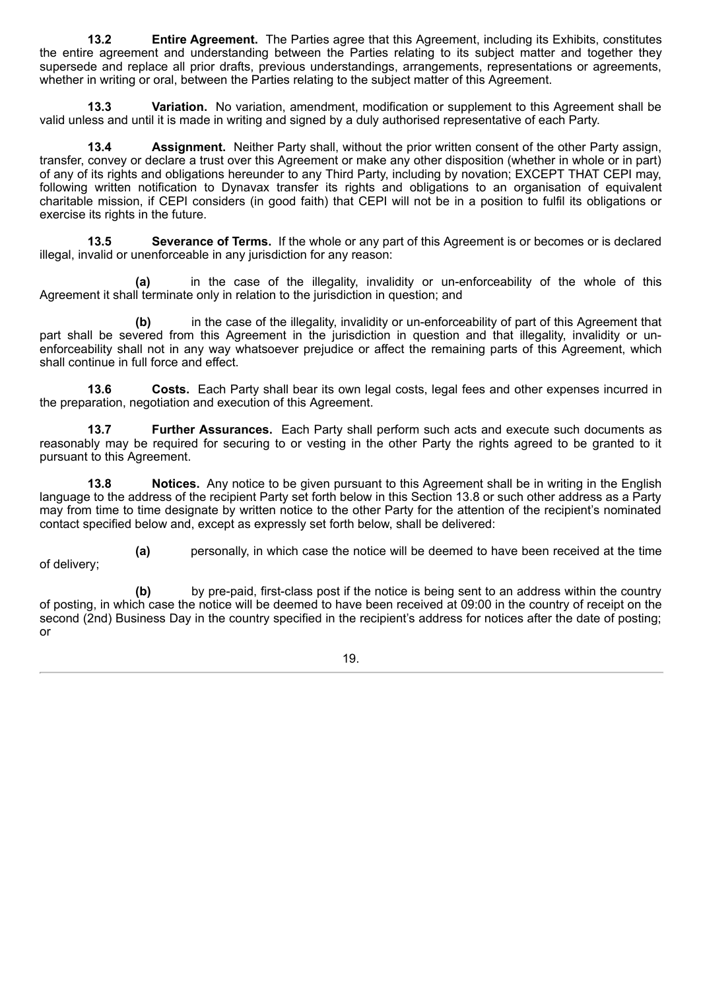**13.2 Entire Agreement.** The Parties agree that this Agreement, including its Exhibits, constitutes the entire agreement and understanding between the Parties relating to its subject matter and together they supersede and replace all prior drafts, previous understandings, arrangements, representations or agreements, whether in writing or oral, between the Parties relating to the subject matter of this Agreement.

**13.3 Variation.** No variation, amendment, modification or supplement to this Agreement shall be valid unless and until it is made in writing and signed by a duly authorised representative of each Party.

**13.4 Assignment.** Neither Party shall, without the prior written consent of the other Party assign, transfer, convey or declare a trust over this Agreement or make any other disposition (whether in whole or in part) of any of its rights and obligations hereunder to any Third Party, including by novation; EXCEPT THAT CEPI may, following written notification to Dynavax transfer its rights and obligations to an organisation of equivalent charitable mission, if CEPI considers (in good faith) that CEPI will not be in a position to fulfil its obligations or exercise its rights in the future.

**13.5 Severance of Terms.** If the whole or any part of this Agreement is or becomes or is declared illegal, invalid or unenforceable in any jurisdiction for any reason:

**(a)** in the case of the illegality, invalidity or un-enforceability of the whole of this Agreement it shall terminate only in relation to the jurisdiction in question; and

**(b)** in the case of the illegality, invalidity or un-enforceability of part of this Agreement that part shall be severed from this Agreement in the jurisdiction in question and that illegality, invalidity or unenforceability shall not in any way whatsoever prejudice or affect the remaining parts of this Agreement, which shall continue in full force and effect.

**13.6 Costs.** Each Party shall bear its own legal costs, legal fees and other expenses incurred in the preparation, negotiation and execution of this Agreement.

**13.7 Further Assurances.** Each Party shall perform such acts and execute such documents as reasonably may be required for securing to or vesting in the other Party the rights agreed to be granted to it pursuant to this Agreement.

**13.8 Notices.** Any notice to be given pursuant to this Agreement shall be in writing in the English language to the address of the recipient Party set forth below in this Section 13.8 or such other address as a Party may from time to time designate by written notice to the other Party for the attention of the recipient's nominated contact specified below and, except as expressly set forth below, shall be delivered:

**(a)** personally, in which case the notice will be deemed to have been received at the time of delivery;

**(b)** by pre-paid, first-class post if the notice is being sent to an address within the country of posting, in which case the notice will be deemed to have been received at 09:00 in the country of receipt on the second (2nd) Business Day in the country specified in the recipient's address for notices after the date of posting; or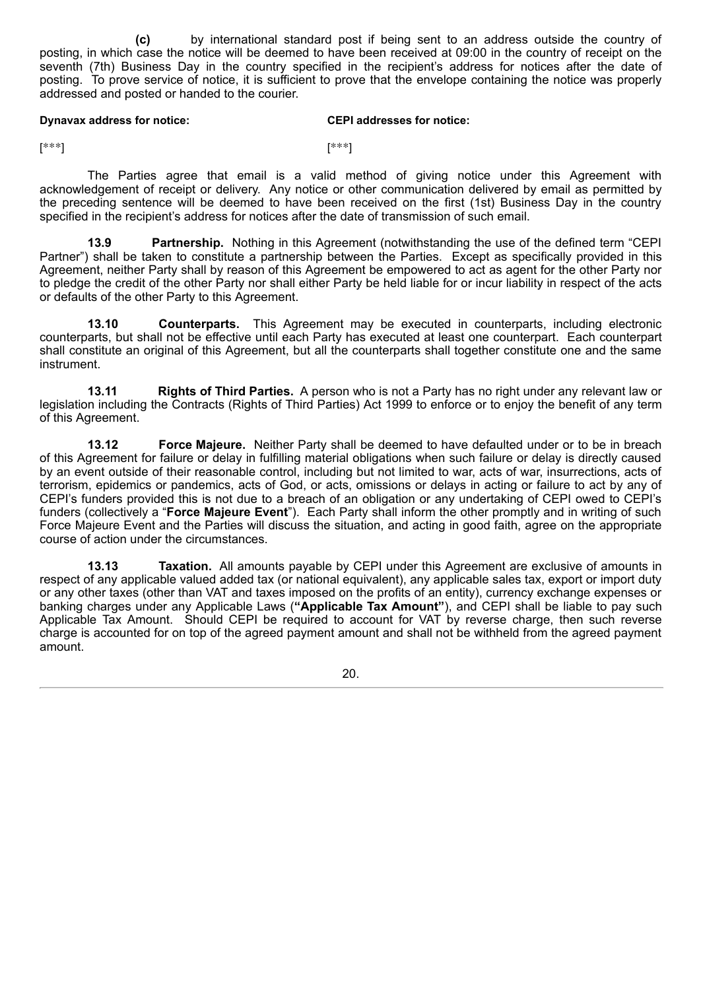**(c)** by international standard post if being sent to an address outside the country of posting, in which case the notice will be deemed to have been received at 09:00 in the country of receipt on the seventh (7th) Business Day in the country specified in the recipient's address for notices after the date of posting. To prove service of notice, it is sufficient to prove that the envelope containing the notice was properly addressed and posted or handed to the courier.

#### **Dynavax address for notice: CEPI addresses for notice:**

 $[$ \*\*\*]  $[$ \*\*\*]

The Parties agree that email is a valid method of giving notice under this Agreement with acknowledgement of receipt or delivery. Any notice or other communication delivered by email as permitted by the preceding sentence will be deemed to have been received on the first (1st) Business Day in the country specified in the recipient's address for notices after the date of transmission of such email.

**13.9 Partnership.** Nothing in this Agreement (notwithstanding the use of the defined term "CEPI Partner") shall be taken to constitute a partnership between the Parties. Except as specifically provided in this Agreement, neither Party shall by reason of this Agreement be empowered to act as agent for the other Party nor to pledge the credit of the other Party nor shall either Party be held liable for or incur liability in respect of the acts or defaults of the other Party to this Agreement.

**13.10 Counterparts.** This Agreement may be executed in counterparts, including electronic counterparts, but shall not be effective until each Party has executed at least one counterpart. Each counterpart shall constitute an original of this Agreement, but all the counterparts shall together constitute one and the same instrument.

**13.11 Rights of Third Parties.** A person who is not a Party has no right under any relevant law or legislation including the Contracts (Rights of Third Parties) Act 1999 to enforce or to enjoy the benefit of any term of this Agreement.

**13.12 Force Majeure.** Neither Party shall be deemed to have defaulted under or to be in breach of this Agreement for failure or delay in fulfilling material obligations when such failure or delay is directly caused by an event outside of their reasonable control, including but not limited to war, acts of war, insurrections, acts of terrorism, epidemics or pandemics, acts of God, or acts, omissions or delays in acting or failure to act by any of CEPI's funders provided this is not due to a breach of an obligation or any undertaking of CEPI owed to CEPI's funders (collectively a "**Force Majeure Event**"). Each Party shall inform the other promptly and in writing of such Force Majeure Event and the Parties will discuss the situation, and acting in good faith, agree on the appropriate course of action under the circumstances.

**13.13 Taxation.** All amounts payable by CEPI under this Agreement are exclusive of amounts in respect of any applicable valued added tax (or national equivalent), any applicable sales tax, export or import duty or any other taxes (other than VAT and taxes imposed on the profits of an entity), currency exchange expenses or banking charges under any Applicable Laws (**"Applicable Tax Amount"**), and CEPI shall be liable to pay such Applicable Tax Amount. Should CEPI be required to account for VAT by reverse charge, then such reverse charge is accounted for on top of the agreed payment amount and shall not be withheld from the agreed payment amount.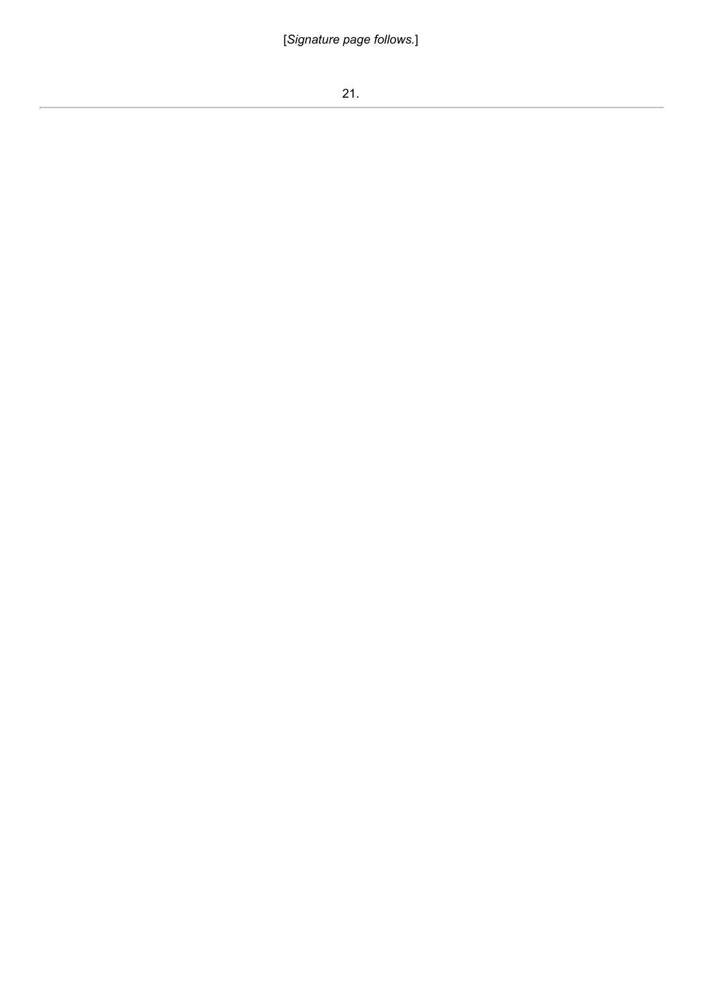[*Signature page follows.*]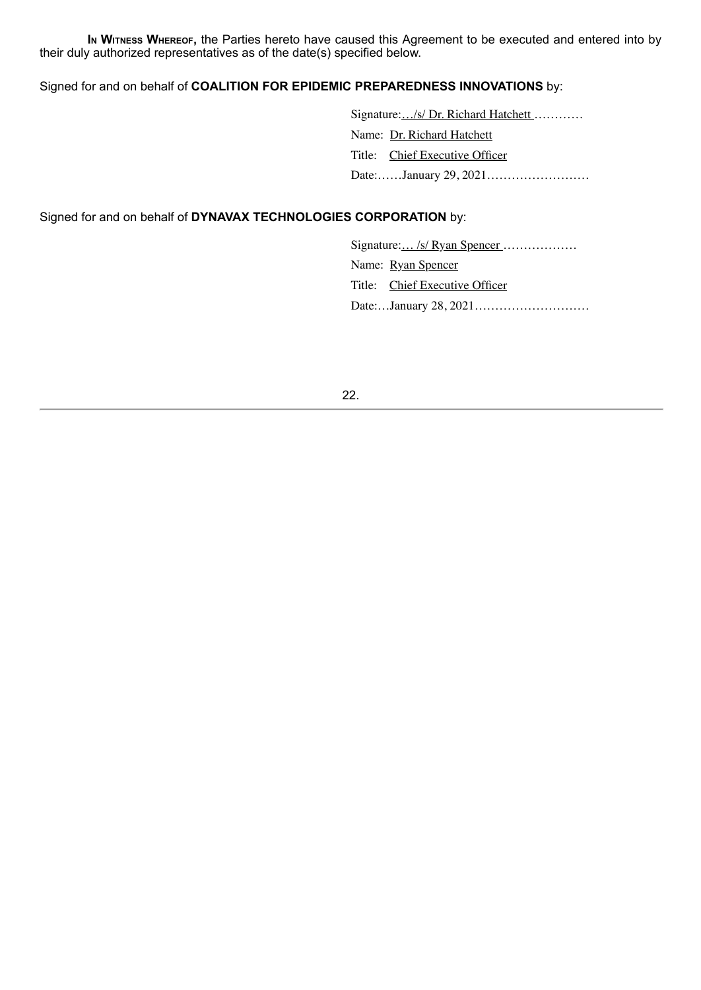**I<sup>n</sup> Witness Whereof,** the Parties hereto have caused this Agreement to be executed and entered into by their duly authorized representatives as of the date(s) specified below.

# Signed for and on behalf of **COALITION FOR EPIDEMIC PREPAREDNESS INNOVATIONS** by:

Signature:.../s/ Dr. Richard Hatchett............ Name: Dr. Richard Hatchett Title: Chief Executive Officer Date:……January 29, 2021…………………….

Signed for and on behalf of **DYNAVAX TECHNOLOGIES CORPORATION** by:

Signature:... /s/ Ryan Spencer ..................

Name: Ryan Spencer

Title: Chief Executive Officer

Date:…January 28, 2021……………………….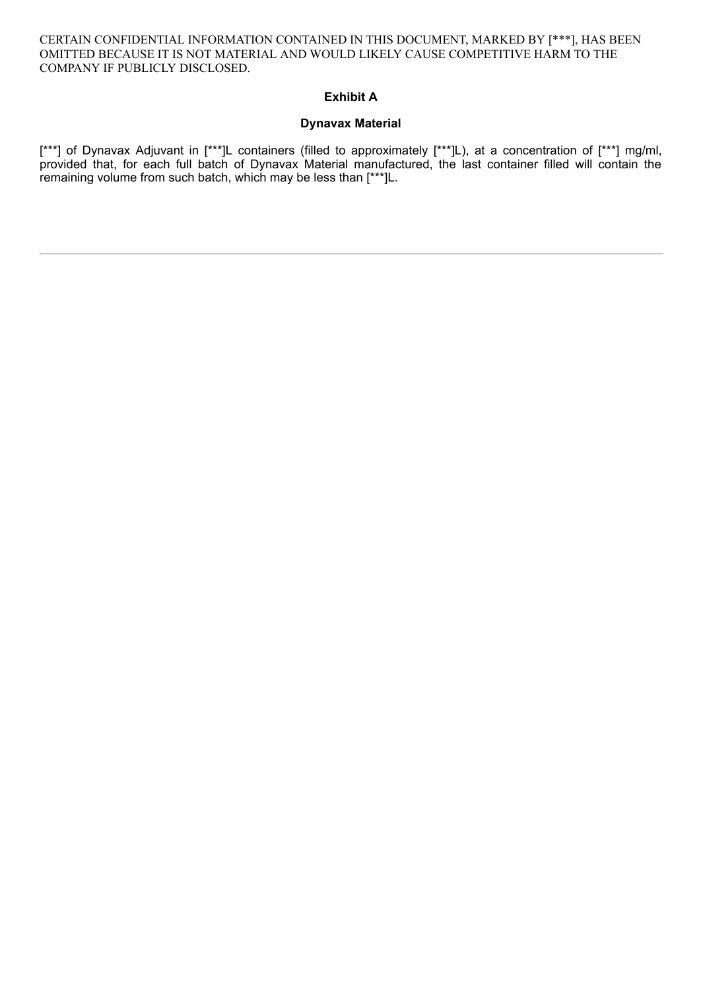CERTAIN CONFIDENTIAL INFORMATION CONTAINED IN THIS DOCUMENT, MARKED BY [\*\*\*], HAS BEEN OMITTED BECAUSE IT IS NOT MATERIAL AND WOULD LIKELY CAUSE COMPETITIVE HARM TO THE COMPANY IF PUBLICLY DISCLOSED.

# **Exhibit A**

## **Dynavax Material**

[\*\*\*] of Dynavax Adjuvant in [\*\*\*]L containers (filled to approximately [\*\*\*]L), at a concentration of [\*\*\*] mg/ml, provided that, for each full batch of Dynavax Material manufactured, the last container filled will contain the remaining volume from such batch, which may be less than [\*\*\*]L.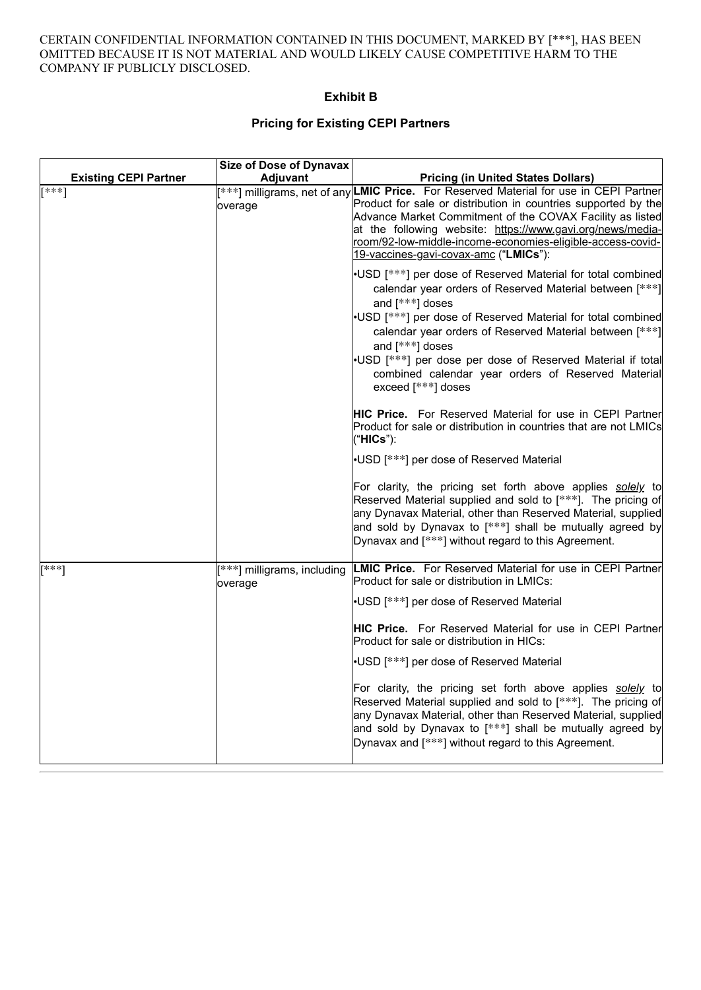#### CERTAIN CONFIDENTIAL INFORMATION CONTAINED IN THIS DOCUMENT, MARKED BY [\*\*\*], HAS BEEN OMITTED BECAUSE IT IS NOT MATERIAL AND WOULD LIKELY CAUSE COMPETITIVE HARM TO THE COMPANY IF PUBLICLY DISCLOSED.

## **Exhibit B**

# **Pricing for Existing CEPI Partners**

|                              | <b>Size of Dose of Dynavax</b>         |                                                                                                                                                                                                                                                                                                                                                                                                                                      |
|------------------------------|----------------------------------------|--------------------------------------------------------------------------------------------------------------------------------------------------------------------------------------------------------------------------------------------------------------------------------------------------------------------------------------------------------------------------------------------------------------------------------------|
| <b>Existing CEPI Partner</b> | <b>Adjuvant</b>                        | <b>Pricing (in United States Dollars)</b>                                                                                                                                                                                                                                                                                                                                                                                            |
| $***1$                       | overage                                | [ <sup>***</sup> ] milligrams, net of any LMIC Price. For Reserved Material for use in CEPI Partner<br>Product for sale or distribution in countries supported by the<br>Advance Market Commitment of the COVAX Facility as listed<br>at the following website: https://www.gavi.org/news/media-<br>room/92-low-middle-income-economies-eligible-access-covid-<br>19-vaccines-gavi-covax-amc ("LMICs"):                              |
|                              |                                        | •USD [***] per dose of Reserved Material for total combined<br>calendar year orders of Reserved Material between [ *** ]<br>and [***] doses<br>•USD [***] per dose of Reserved Material for total combined<br>calendar year orders of Reserved Material between [***]<br>and [***] doses<br>.USD [***] per dose per dose of Reserved Material if total<br>combined calendar year orders of Reserved Material<br>exceed $[***]$ doses |
|                              |                                        | <b>HIC Price.</b> For Reserved Material for use in CEPI Partner<br>Product for sale or distribution in countries that are not LMICs<br>("HICs"):                                                                                                                                                                                                                                                                                     |
|                              |                                        | •USD [***] per dose of Reserved Material                                                                                                                                                                                                                                                                                                                                                                                             |
|                              |                                        | For clarity, the pricing set forth above applies solely to<br>Reserved Material supplied and sold to [***]. The pricing of<br>any Dynavax Material, other than Reserved Material, supplied<br>and sold by Dynavax to [***] shall be mutually agreed by<br>Dynavax and [***] without regard to this Agreement.                                                                                                                        |
| [***]                        | [***] milligrams, including<br>overage | <b>LMIC Price.</b> For Reserved Material for use in CEPI Partner<br>Product for sale or distribution in LMICs:                                                                                                                                                                                                                                                                                                                       |
|                              |                                        | •USD [***] per dose of Reserved Material                                                                                                                                                                                                                                                                                                                                                                                             |
|                              |                                        | <b>HIC Price.</b> For Reserved Material for use in CEPI Partner<br>Product for sale or distribution in HICs:                                                                                                                                                                                                                                                                                                                         |
|                              |                                        | •USD [***] per dose of Reserved Material                                                                                                                                                                                                                                                                                                                                                                                             |
|                              |                                        | For clarity, the pricing set forth above applies solely to<br>Reserved Material supplied and sold to [***]. The pricing of<br>any Dynavax Material, other than Reserved Material, supplied<br>and sold by Dynavax to $[***]$ shall be mutually agreed by<br>Dynavax and [***] without regard to this Agreement.                                                                                                                      |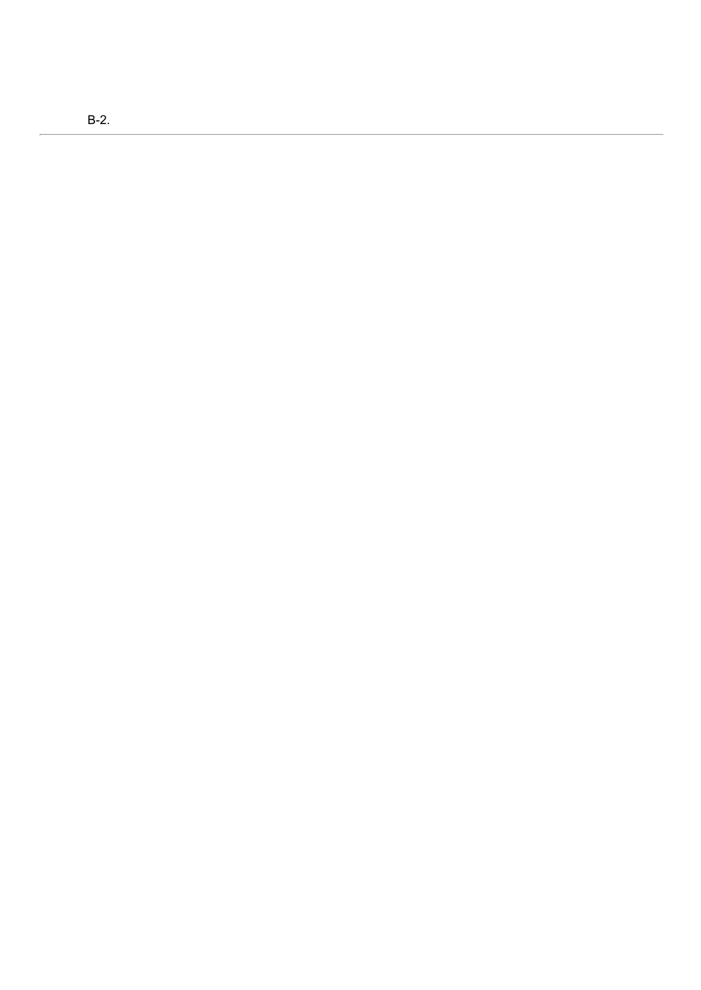B-2.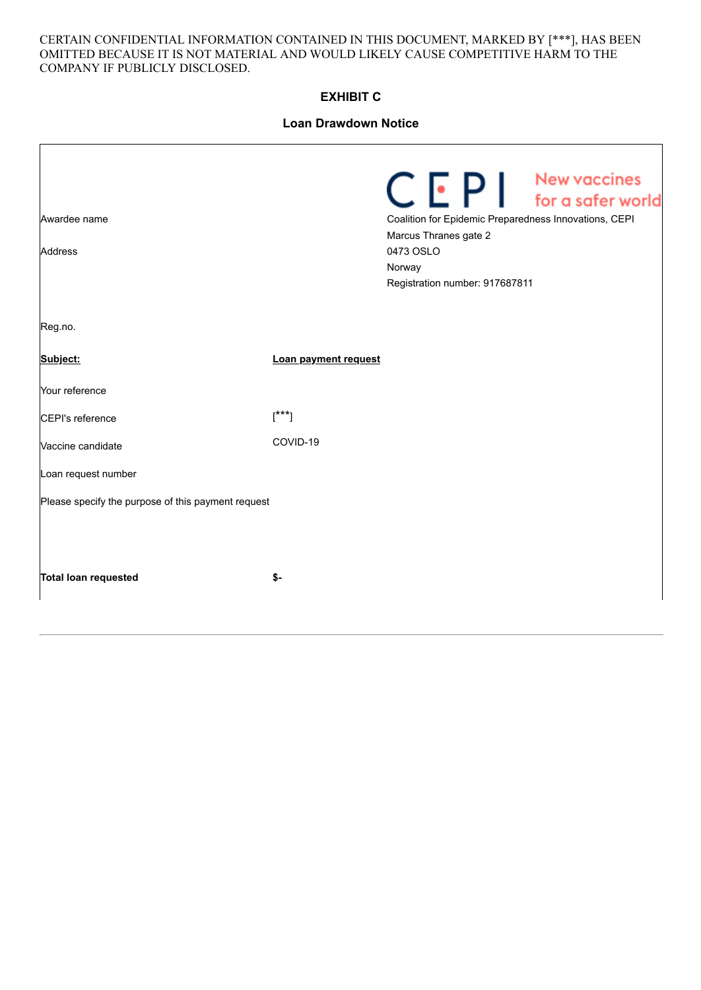#### CERTAIN CONFIDENTIAL INFORMATION CONTAINED IN THIS DOCUMENT, MARKED BY [\*\*\*], HAS BEEN OMITTED BECAUSE IT IS NOT MATERIAL AND WOULD LIKELY CAUSE COMPETITIVE HARM TO THE COMPANY IF PUBLICLY DISCLOSED.

# **EXHIBIT C**

# **Loan Drawdown Notice**

| Awardee name<br><b>Address</b>                     |                      | $C E P$ Mew vaccines<br>Coalition for Epidemic Preparedness Innovations, CEPI<br>Marcus Thranes gate 2<br>0473 OSLO<br>Norway<br>Registration number: 917687811 |  |  |
|----------------------------------------------------|----------------------|-----------------------------------------------------------------------------------------------------------------------------------------------------------------|--|--|
| Reg.no.                                            |                      |                                                                                                                                                                 |  |  |
| Subject:                                           | Loan payment request |                                                                                                                                                                 |  |  |
| Your reference                                     |                      |                                                                                                                                                                 |  |  |
| CEPI's reference                                   | $[^{***}]$           |                                                                                                                                                                 |  |  |
| Vaccine candidate                                  | COVID-19             |                                                                                                                                                                 |  |  |
| Loan request number                                |                      |                                                                                                                                                                 |  |  |
| Please specify the purpose of this payment request |                      |                                                                                                                                                                 |  |  |
| <b>Total loan requested</b>                        | \$-                  |                                                                                                                                                                 |  |  |